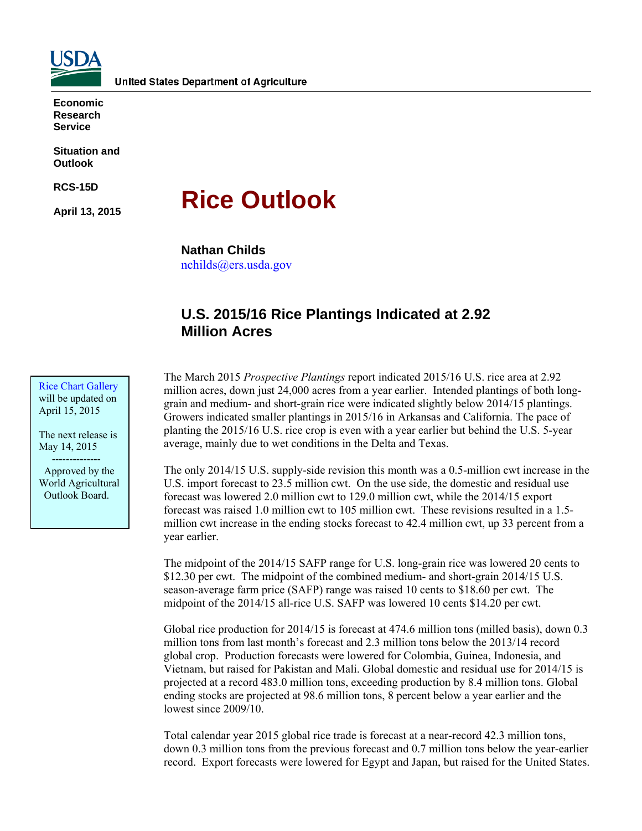

**Economic Research Service** 

**Situation and Outlook** 

**RCS-15D** 

**April 13, 2015** 

# **Rice Outlook**

**Nathan Childs** 

nchilds@ers.usda.gov

# **U.S. 2015/16 Rice Plantings Indicated at 2.92 Million Acres**

Rice Chart Gallery will be updated on April 15, 2015

The next release is May 14, 2015 --------------

 Approved by the World Agricultural Outlook Board.

The March 2015 *Prospective Plantings* report indicated 2015/16 U.S. rice area at 2.92 million acres, down just 24,000 acres from a year earlier. Intended plantings of both longgrain and medium- and short-grain rice were indicated slightly below 2014/15 plantings. Growers indicated smaller plantings in 2015/16 in Arkansas and California. The pace of planting the 2015/16 U.S. rice crop is even with a year earlier but behind the U.S. 5-year average, mainly due to wet conditions in the Delta and Texas.

The only 2014/15 U.S. supply-side revision this month was a 0.5-million cwt increase in the U.S. import forecast to 23.5 million cwt. On the use side, the domestic and residual use forecast was lowered 2.0 million cwt to 129.0 million cwt, while the 2014/15 export forecast was raised 1.0 million cwt to 105 million cwt. These revisions resulted in a 1.5 million cwt increase in the ending stocks forecast to 42.4 million cwt, up 33 percent from a year earlier.

The midpoint of the 2014/15 SAFP range for U.S. long-grain rice was lowered 20 cents to \$12.30 per cwt. The midpoint of the combined medium- and short-grain 2014/15 U.S. season-average farm price (SAFP) range was raised 10 cents to \$18.60 per cwt. The midpoint of the 2014/15 all-rice U.S. SAFP was lowered 10 cents \$14.20 per cwt.

Global rice production for 2014/15 is forecast at 474.6 million tons (milled basis), down 0.3 million tons from last month's forecast and 2.3 million tons below the 2013/14 record global crop. Production forecasts were lowered for Colombia, Guinea, Indonesia, and Vietnam, but raised for Pakistan and Mali. Global domestic and residual use for 2014/15 is projected at a record 483.0 million tons, exceeding production by 8.4 million tons. Global ending stocks are projected at 98.6 million tons, 8 percent below a year earlier and the lowest since 2009/10.

Total calendar year 2015 global rice trade is forecast at a near-record 42.3 million tons, down 0.3 million tons from the previous forecast and 0.7 million tons below the year-earlier record. Export forecasts were lowered for Egypt and Japan, but raised for the United States.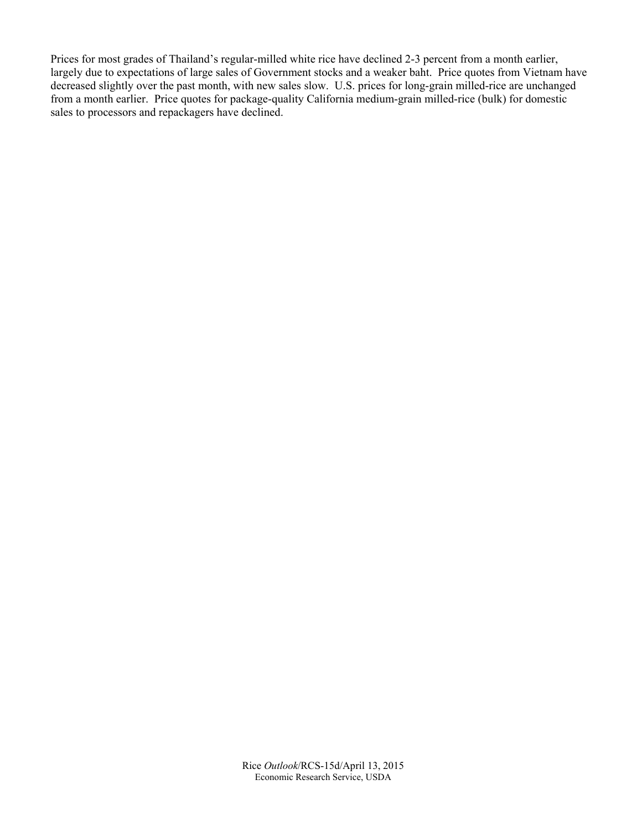Prices for most grades of Thailand's regular-milled white rice have declined 2-3 percent from a month earlier, largely due to expectations of large sales of Government stocks and a weaker baht. Price quotes from Vietnam have decreased slightly over the past month, with new sales slow. U.S. prices for long-grain milled-rice are unchanged from a month earlier. Price quotes for package-quality California medium-grain milled-rice (bulk) for domestic sales to processors and repackagers have declined.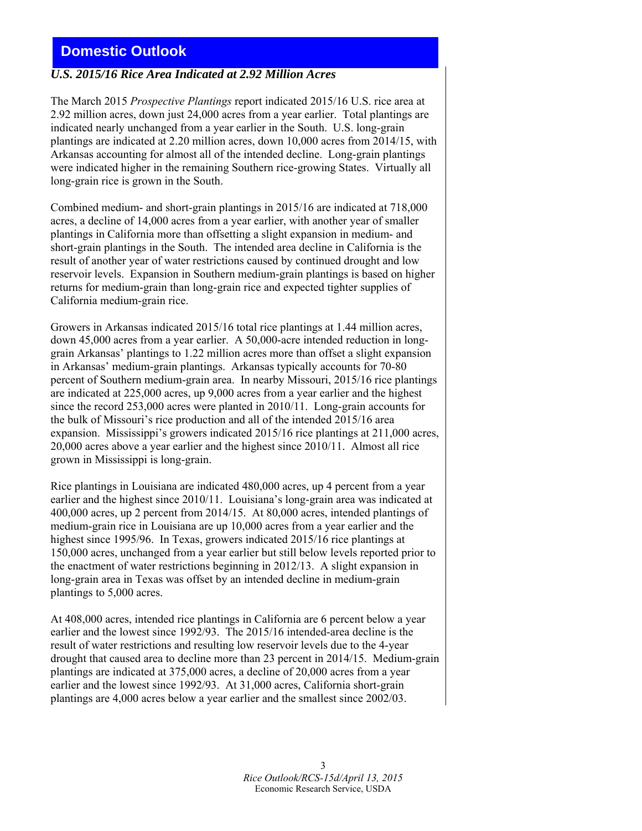# **Domestic Outlook**

#### *U.S. 2015/16 Rice Area Indicated at 2.92 Million Acres*

The March 2015 *Prospective Plantings* report indicated 2015/16 U.S. rice area at 2.92 million acres, down just 24,000 acres from a year earlier. Total plantings are indicated nearly unchanged from a year earlier in the South. U.S. long-grain plantings are indicated at 2.20 million acres, down 10,000 acres from 2014/15, with Arkansas accounting for almost all of the intended decline. Long-grain plantings were indicated higher in the remaining Southern rice-growing States. Virtually all long-grain rice is grown in the South.

Combined medium- and short-grain plantings in 2015/16 are indicated at 718,000 acres, a decline of 14,000 acres from a year earlier, with another year of smaller plantings in California more than offsetting a slight expansion in medium- and short-grain plantings in the South. The intended area decline in California is the result of another year of water restrictions caused by continued drought and low reservoir levels. Expansion in Southern medium-grain plantings is based on higher returns for medium-grain than long-grain rice and expected tighter supplies of California medium-grain rice.

Growers in Arkansas indicated 2015/16 total rice plantings at 1.44 million acres, down 45,000 acres from a year earlier. A 50,000-acre intended reduction in longgrain Arkansas' plantings to 1.22 million acres more than offset a slight expansion in Arkansas' medium-grain plantings. Arkansas typically accounts for 70-80 percent of Southern medium-grain area. In nearby Missouri, 2015/16 rice plantings are indicated at 225,000 acres, up 9,000 acres from a year earlier and the highest since the record 253,000 acres were planted in 2010/11. Long-grain accounts for the bulk of Missouri's rice production and all of the intended 2015/16 area expansion. Mississippi's growers indicated 2015/16 rice plantings at 211,000 acres, 20,000 acres above a year earlier and the highest since 2010/11. Almost all rice grown in Mississippi is long-grain.

Rice plantings in Louisiana are indicated 480,000 acres, up 4 percent from a year earlier and the highest since 2010/11. Louisiana's long-grain area was indicated at 400,000 acres, up 2 percent from 2014/15. At 80,000 acres, intended plantings of medium-grain rice in Louisiana are up 10,000 acres from a year earlier and the highest since 1995/96. In Texas, growers indicated 2015/16 rice plantings at 150,000 acres, unchanged from a year earlier but still below levels reported prior to the enactment of water restrictions beginning in 2012/13. A slight expansion in long-grain area in Texas was offset by an intended decline in medium-grain plantings to 5,000 acres.

At 408,000 acres, intended rice plantings in California are 6 percent below a year earlier and the lowest since 1992/93. The 2015/16 intended-area decline is the result of water restrictions and resulting low reservoir levels due to the 4-year drought that caused area to decline more than 23 percent in 2014/15. Medium-grain plantings are indicated at 375,000 acres, a decline of 20,000 acres from a year earlier and the lowest since 1992/93. At 31,000 acres, California short-grain plantings are 4,000 acres below a year earlier and the smallest since 2002/03.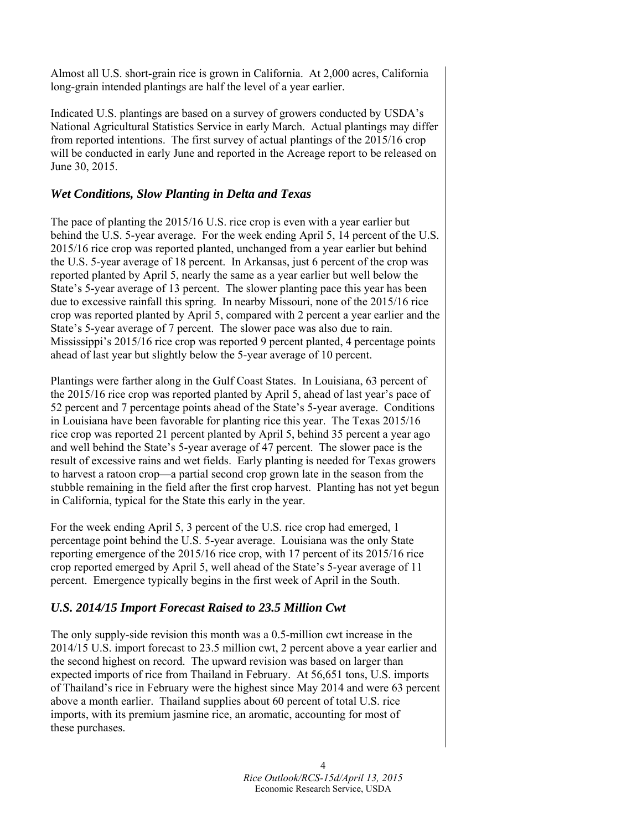Almost all U.S. short-grain rice is grown in California. At 2,000 acres, California long-grain intended plantings are half the level of a year earlier.

Indicated U.S. plantings are based on a survey of growers conducted by USDA's National Agricultural Statistics Service in early March. Actual plantings may differ from reported intentions. The first survey of actual plantings of the 2015/16 crop will be conducted in early June and reported in the Acreage report to be released on June 30, 2015.

## *Wet Conditions, Slow Planting in Delta and Texas*

The pace of planting the 2015/16 U.S. rice crop is even with a year earlier but behind the U.S. 5-year average. For the week ending April 5, 14 percent of the U.S. 2015/16 rice crop was reported planted, unchanged from a year earlier but behind the U.S. 5-year average of 18 percent. In Arkansas, just 6 percent of the crop was reported planted by April 5, nearly the same as a year earlier but well below the State's 5-year average of 13 percent. The slower planting pace this year has been due to excessive rainfall this spring. In nearby Missouri, none of the 2015/16 rice crop was reported planted by April 5, compared with 2 percent a year earlier and the State's 5-year average of 7 percent. The slower pace was also due to rain. Mississippi's 2015/16 rice crop was reported 9 percent planted, 4 percentage points ahead of last year but slightly below the 5-year average of 10 percent.

Plantings were farther along in the Gulf Coast States. In Louisiana, 63 percent of the 2015/16 rice crop was reported planted by April 5, ahead of last year's pace of 52 percent and 7 percentage points ahead of the State's 5-year average. Conditions in Louisiana have been favorable for planting rice this year. The Texas 2015/16 rice crop was reported 21 percent planted by April 5, behind 35 percent a year ago and well behind the State's 5-year average of 47 percent. The slower pace is the result of excessive rains and wet fields. Early planting is needed for Texas growers to harvest a ratoon crop—a partial second crop grown late in the season from the stubble remaining in the field after the first crop harvest. Planting has not yet begun in California, typical for the State this early in the year.

For the week ending April 5, 3 percent of the U.S. rice crop had emerged, 1 percentage point behind the U.S. 5-year average. Louisiana was the only State reporting emergence of the 2015/16 rice crop, with 17 percent of its 2015/16 rice crop reported emerged by April 5, well ahead of the State's 5-year average of 11 percent. Emergence typically begins in the first week of April in the South.

# *U.S. 2014/15 Import Forecast Raised to 23.5 Million Cwt*

The only supply-side revision this month was a 0.5-million cwt increase in the 2014/15 U.S. import forecast to 23.5 million cwt, 2 percent above a year earlier and the second highest on record. The upward revision was based on larger than expected imports of rice from Thailand in February. At 56,651 tons, U.S. imports of Thailand's rice in February were the highest since May 2014 and were 63 percent above a month earlier. Thailand supplies about 60 percent of total U.S. rice imports, with its premium jasmine rice, an aromatic, accounting for most of these purchases.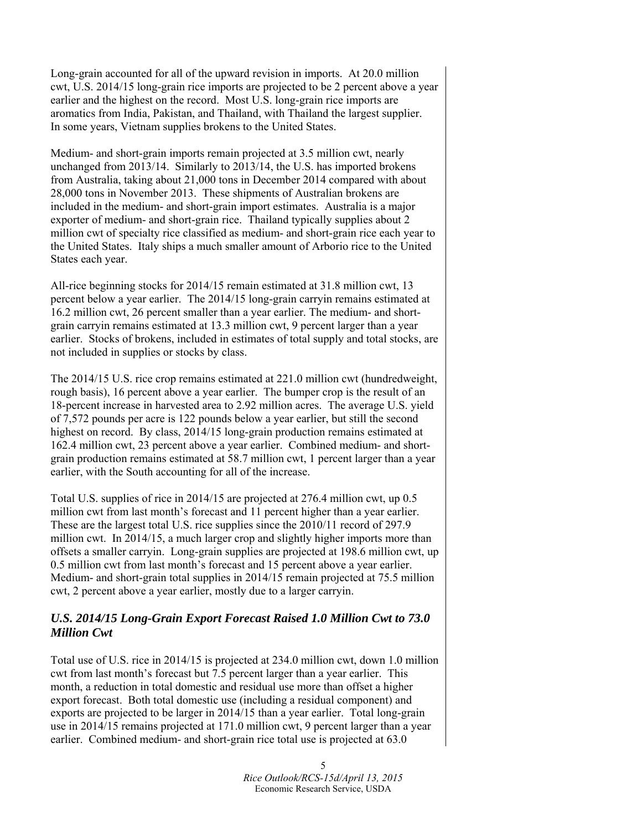Long-grain accounted for all of the upward revision in imports. At 20.0 million cwt, U.S. 2014/15 long-grain rice imports are projected to be 2 percent above a year earlier and the highest on the record. Most U.S. long-grain rice imports are aromatics from India, Pakistan, and Thailand, with Thailand the largest supplier. In some years, Vietnam supplies brokens to the United States.

Medium- and short-grain imports remain projected at 3.5 million cwt, nearly unchanged from 2013/14. Similarly to 2013/14, the U.S. has imported brokens from Australia, taking about 21,000 tons in December 2014 compared with about 28,000 tons in November 2013. These shipments of Australian brokens are included in the medium- and short-grain import estimates. Australia is a major exporter of medium- and short-grain rice. Thailand typically supplies about 2 million cwt of specialty rice classified as medium- and short-grain rice each year to the United States. Italy ships a much smaller amount of Arborio rice to the United States each year.

All-rice beginning stocks for 2014/15 remain estimated at 31.8 million cwt, 13 percent below a year earlier. The 2014/15 long-grain carryin remains estimated at 16.2 million cwt, 26 percent smaller than a year earlier. The medium- and shortgrain carryin remains estimated at 13.3 million cwt, 9 percent larger than a year earlier. Stocks of brokens, included in estimates of total supply and total stocks, are not included in supplies or stocks by class.

The 2014/15 U.S. rice crop remains estimated at 221.0 million cwt (hundredweight, rough basis), 16 percent above a year earlier. The bumper crop is the result of an 18-percent increase in harvested area to 2.92 million acres. The average U.S. yield of 7,572 pounds per acre is 122 pounds below a year earlier, but still the second highest on record. By class, 2014/15 long-grain production remains estimated at 162.4 million cwt, 23 percent above a year earlier. Combined medium- and shortgrain production remains estimated at 58.7 million cwt, 1 percent larger than a year earlier, with the South accounting for all of the increase.

Total U.S. supplies of rice in 2014/15 are projected at 276.4 million cwt, up 0.5 million cwt from last month's forecast and 11 percent higher than a year earlier. These are the largest total U.S. rice supplies since the 2010/11 record of 297.9 million cwt. In 2014/15, a much larger crop and slightly higher imports more than offsets a smaller carryin. Long-grain supplies are projected at 198.6 million cwt, up 0.5 million cwt from last month's forecast and 15 percent above a year earlier. Medium- and short-grain total supplies in 2014/15 remain projected at 75.5 million cwt, 2 percent above a year earlier, mostly due to a larger carryin.

## *U.S. 2014/15 Long-Grain Export Forecast Raised 1.0 Million Cwt to 73.0 Million Cwt*

Total use of U.S. rice in 2014/15 is projected at 234.0 million cwt, down 1.0 million cwt from last month's forecast but 7.5 percent larger than a year earlier. This month, a reduction in total domestic and residual use more than offset a higher export forecast. Both total domestic use (including a residual component) and exports are projected to be larger in 2014/15 than a year earlier. Total long-grain use in 2014/15 remains projected at 171.0 million cwt, 9 percent larger than a year earlier. Combined medium- and short-grain rice total use is projected at 63.0

> 5 *Rice Outlook/RCS-15d/April 13, 2015*  Economic Research Service, USDA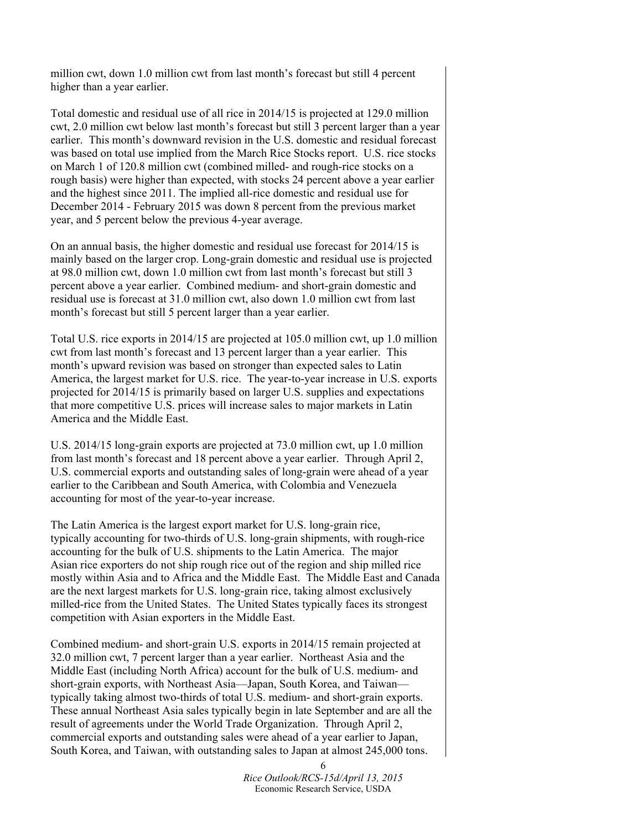million cwt, down 1.0 million cwt from last month's forecast but still 4 percent higher than a year earlier.

Total domestic and residual use of all rice in 2014/15 is projected at 129.0 million cwt, 2.0 million cwt below last month's forecast but still 3 percent larger than a year earlier. This month's downward revision in the U.S. domestic and residual forecast was based on total use implied from the March Rice Stocks report. U.S. rice stocks on March 1 of 120.8 million cwt (combined milled- and rough-rice stocks on a rough basis) were higher than expected, with stocks 24 percent above a year earlier and the highest since 2011. The implied all-rice domestic and residual use for December 2014 - February 2015 was down 8 percent from the previous market year, and 5 percent below the previous 4-year average.

On an annual basis, the higher domestic and residual use forecast for 2014/15 is mainly based on the larger crop. Long-grain domestic and residual use is projected at 98.0 million cwt, down 1.0 million cwt from last month's forecast but still 3 percent above a year earlier. Combined medium- and short-grain domestic and residual use is forecast at 31.0 million cwt, also down 1.0 million cwt from last month's forecast but still 5 percent larger than a year earlier.

Total U.S. rice exports in 2014/15 are projected at 105.0 million cwt, up 1.0 million cwt from last month's forecast and 13 percent larger than a year earlier. This month's upward revision was based on stronger than expected sales to Latin America, the largest market for U.S. rice. The year-to-year increase in U.S. exports projected for 2014/15 is primarily based on larger U.S. supplies and expectations that more competitive U.S. prices will increase sales to major markets in Latin America and the Middle East.

U.S. 2014/15 long-grain exports are projected at 73.0 million cwt, up 1.0 million from last month's forecast and 18 percent above a year earlier. Through April 2, U.S. commercial exports and outstanding sales of long-grain were ahead of a year earlier to the Caribbean and South America, with Colombia and Venezuela accounting for most of the year-to-year increase.

The Latin America is the largest export market for U.S. long-grain rice, typically accounting for two-thirds of U.S. long-grain shipments, with rough-rice accounting for the bulk of U.S. shipments to the Latin America. The major Asian rice exporters do not ship rough rice out of the region and ship milled rice mostly within Asia and to Africa and the Middle East. The Middle East and Canada are the next largest markets for U.S. long-grain rice, taking almost exclusively milled-rice from the United States. The United States typically faces its strongest competition with Asian exporters in the Middle East.

Combined medium- and short-grain U.S. exports in 2014/15 remain projected at 32.0 million cwt, 7 percent larger than a year earlier. Northeast Asia and the Middle East (including North Africa) account for the bulk of U.S. medium- and short-grain exports, with Northeast Asia—Japan, South Korea, and Taiwan typically taking almost two-thirds of total U.S. medium- and short-grain exports. These annual Northeast Asia sales typically begin in late September and are all the result of agreements under the World Trade Organization. Through April 2, commercial exports and outstanding sales were ahead of a year earlier to Japan, South Korea, and Taiwan, with outstanding sales to Japan at almost 245,000 tons.

> *Rice Outlook/RCS-15d/April 13, 2015*  Economic Research Service, USDA

6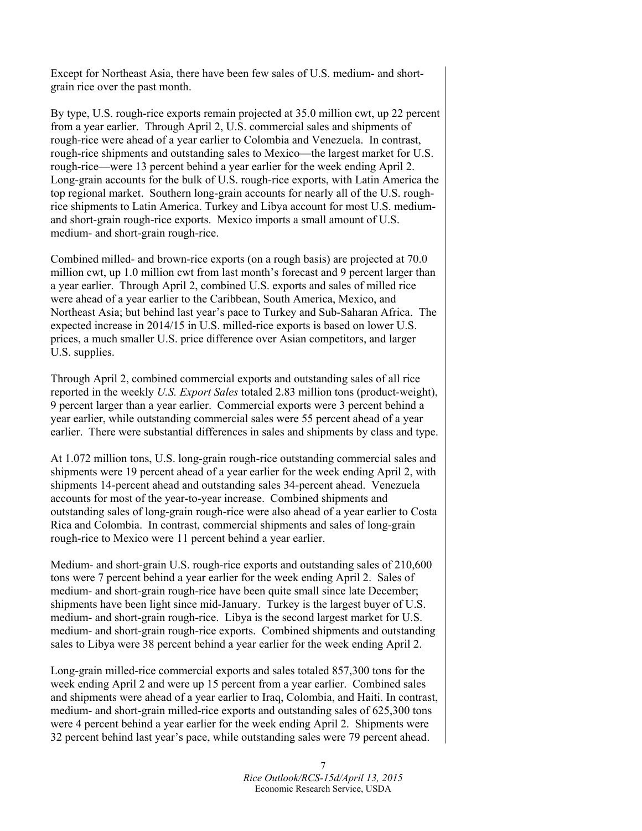Except for Northeast Asia, there have been few sales of U.S. medium- and shortgrain rice over the past month.

By type, U.S. rough-rice exports remain projected at 35.0 million cwt, up 22 percent from a year earlier. Through April 2, U.S. commercial sales and shipments of rough-rice were ahead of a year earlier to Colombia and Venezuela. In contrast, rough-rice shipments and outstanding sales to Mexico—the largest market for U.S. rough-rice—were 13 percent behind a year earlier for the week ending April 2. Long-grain accounts for the bulk of U.S. rough-rice exports, with Latin America the top regional market. Southern long-grain accounts for nearly all of the U.S. roughrice shipments to Latin America. Turkey and Libya account for most U.S. mediumand short-grain rough-rice exports. Mexico imports a small amount of U.S. medium- and short-grain rough-rice.

Combined milled- and brown-rice exports (on a rough basis) are projected at 70.0 million cwt, up 1.0 million cwt from last month's forecast and 9 percent larger than a year earlier. Through April 2, combined U.S. exports and sales of milled rice were ahead of a year earlier to the Caribbean, South America, Mexico, and Northeast Asia; but behind last year's pace to Turkey and Sub-Saharan Africa. The expected increase in 2014/15 in U.S. milled-rice exports is based on lower U.S. prices, a much smaller U.S. price difference over Asian competitors, and larger U.S. supplies.

Through April 2, combined commercial exports and outstanding sales of all rice reported in the weekly *U.S. Export Sales* totaled 2.83 million tons (product-weight), 9 percent larger than a year earlier. Commercial exports were 3 percent behind a year earlier, while outstanding commercial sales were 55 percent ahead of a year earlier. There were substantial differences in sales and shipments by class and type.

At 1.072 million tons, U.S. long-grain rough-rice outstanding commercial sales and shipments were 19 percent ahead of a year earlier for the week ending April 2, with shipments 14-percent ahead and outstanding sales 34-percent ahead. Venezuela accounts for most of the year-to-year increase. Combined shipments and outstanding sales of long-grain rough-rice were also ahead of a year earlier to Costa Rica and Colombia. In contrast, commercial shipments and sales of long-grain rough-rice to Mexico were 11 percent behind a year earlier.

Medium- and short-grain U.S. rough-rice exports and outstanding sales of 210,600 tons were 7 percent behind a year earlier for the week ending April 2. Sales of medium- and short-grain rough-rice have been quite small since late December; shipments have been light since mid-January. Turkey is the largest buyer of U.S. medium- and short-grain rough-rice. Libya is the second largest market for U.S. medium- and short-grain rough-rice exports. Combined shipments and outstanding sales to Libya were 38 percent behind a year earlier for the week ending April 2.

Long-grain milled-rice commercial exports and sales totaled 857,300 tons for the week ending April 2 and were up 15 percent from a year earlier. Combined sales and shipments were ahead of a year earlier to Iraq, Colombia, and Haiti. In contrast, medium- and short-grain milled-rice exports and outstanding sales of 625,300 tons were 4 percent behind a year earlier for the week ending April 2. Shipments were 32 percent behind last year's pace, while outstanding sales were 79 percent ahead.

> 7 *Rice Outlook/RCS-15d/April 13, 2015*  Economic Research Service, USDA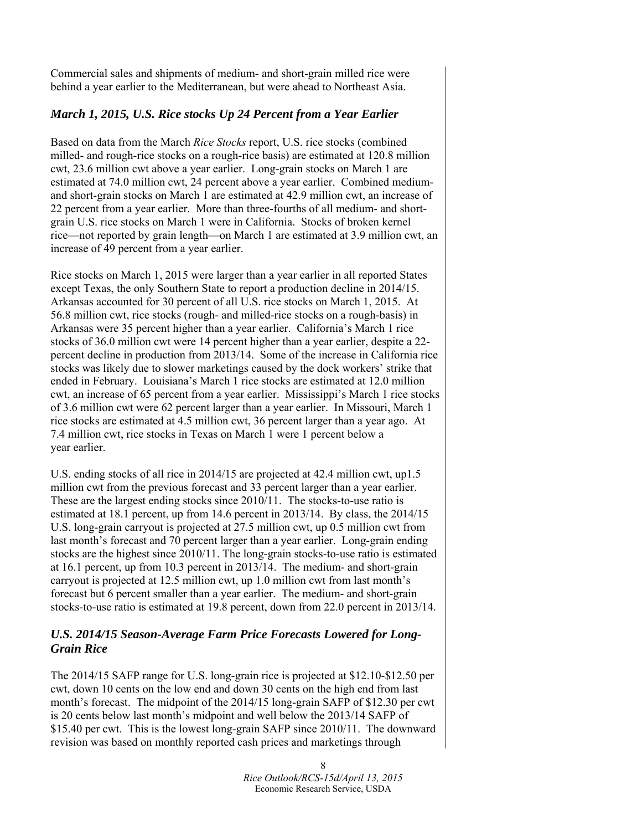Commercial sales and shipments of medium- and short-grain milled rice were behind a year earlier to the Mediterranean, but were ahead to Northeast Asia.

## *March 1, 2015, U.S. Rice stocks Up 24 Percent from a Year Earlier*

Based on data from the March *Rice Stocks* report, U.S. rice stocks (combined milled- and rough-rice stocks on a rough-rice basis) are estimated at 120.8 million cwt, 23.6 million cwt above a year earlier. Long-grain stocks on March 1 are estimated at 74.0 million cwt, 24 percent above a year earlier. Combined mediumand short-grain stocks on March 1 are estimated at 42.9 million cwt, an increase of 22 percent from a year earlier. More than three-fourths of all medium- and shortgrain U.S. rice stocks on March 1 were in California. Stocks of broken kernel rice—not reported by grain length—on March 1 are estimated at 3.9 million cwt, an increase of 49 percent from a year earlier.

Rice stocks on March 1, 2015 were larger than a year earlier in all reported States except Texas, the only Southern State to report a production decline in 2014/15. Arkansas accounted for 30 percent of all U.S. rice stocks on March 1, 2015. At 56.8 million cwt, rice stocks (rough- and milled-rice stocks on a rough-basis) in Arkansas were 35 percent higher than a year earlier. California's March 1 rice stocks of 36.0 million cwt were 14 percent higher than a year earlier, despite a 22 percent decline in production from 2013/14. Some of the increase in California rice stocks was likely due to slower marketings caused by the dock workers' strike that ended in February. Louisiana's March 1 rice stocks are estimated at 12.0 million cwt, an increase of 65 percent from a year earlier. Mississippi's March 1 rice stocks of 3.6 million cwt were 62 percent larger than a year earlier. In Missouri, March 1 rice stocks are estimated at 4.5 million cwt, 36 percent larger than a year ago. At 7.4 million cwt, rice stocks in Texas on March 1 were 1 percent below a year earlier.

U.S. ending stocks of all rice in 2014/15 are projected at 42.4 million cwt, up1.5 million cwt from the previous forecast and 33 percent larger than a year earlier. These are the largest ending stocks since 2010/11. The stocks-to-use ratio is estimated at 18.1 percent, up from 14.6 percent in 2013/14. By class, the 2014/15 U.S. long-grain carryout is projected at 27.5 million cwt, up 0.5 million cwt from last month's forecast and 70 percent larger than a year earlier. Long-grain ending stocks are the highest since 2010/11. The long-grain stocks-to-use ratio is estimated at 16.1 percent, up from 10.3 percent in 2013/14. The medium- and short-grain carryout is projected at 12.5 million cwt, up 1.0 million cwt from last month's forecast but 6 percent smaller than a year earlier. The medium- and short-grain stocks-to-use ratio is estimated at 19.8 percent, down from 22.0 percent in 2013/14.

# *U.S. 2014/15 Season-Average Farm Price Forecasts Lowered for Long-Grain Rice*

The 2014/15 SAFP range for U.S. long-grain rice is projected at \$12.10-\$12.50 per cwt, down 10 cents on the low end and down 30 cents on the high end from last month's forecast. The midpoint of the 2014/15 long-grain SAFP of \$12.30 per cwt is 20 cents below last month's midpoint and well below the 2013/14 SAFP of \$15.40 per cwt. This is the lowest long-grain SAFP since 2010/11. The downward revision was based on monthly reported cash prices and marketings through

> 8 *Rice Outlook/RCS-15d/April 13, 2015*  Economic Research Service, USDA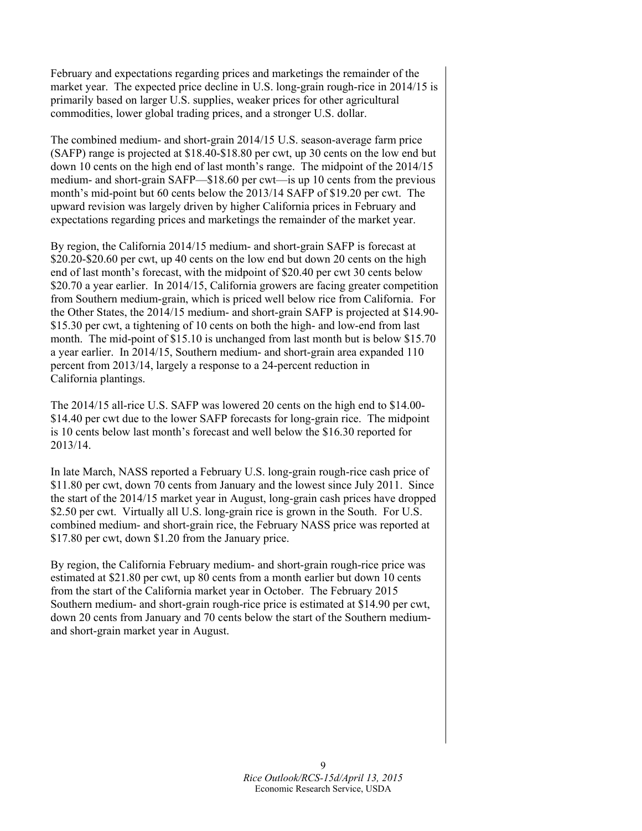February and expectations regarding prices and marketings the remainder of the market year. The expected price decline in U.S. long-grain rough-rice in 2014/15 is primarily based on larger U.S. supplies, weaker prices for other agricultural commodities, lower global trading prices, and a stronger U.S. dollar.

The combined medium- and short-grain 2014/15 U.S. season-average farm price (SAFP) range is projected at \$18.40-\$18.80 per cwt, up 30 cents on the low end but down 10 cents on the high end of last month's range. The midpoint of the 2014/15 medium- and short-grain SAFP—\$18.60 per cwt—is up 10 cents from the previous month's mid-point but 60 cents below the 2013/14 SAFP of \$19.20 per cwt. The upward revision was largely driven by higher California prices in February and expectations regarding prices and marketings the remainder of the market year.

By region, the California 2014/15 medium- and short-grain SAFP is forecast at \$20.20-\$20.60 per cwt, up 40 cents on the low end but down 20 cents on the high end of last month's forecast, with the midpoint of \$20.40 per cwt 30 cents below \$20.70 a year earlier. In 2014/15, California growers are facing greater competition from Southern medium-grain, which is priced well below rice from California. For the Other States, the 2014/15 medium- and short-grain SAFP is projected at \$14.90- \$15.30 per cwt, a tightening of 10 cents on both the high- and low-end from last month. The mid-point of \$15.10 is unchanged from last month but is below \$15.70 a year earlier. In 2014/15, Southern medium- and short-grain area expanded 110 percent from 2013/14, largely a response to a 24-percent reduction in California plantings.

The 2014/15 all-rice U.S. SAFP was lowered 20 cents on the high end to \$14.00- \$14.40 per cwt due to the lower SAFP forecasts for long-grain rice. The midpoint is 10 cents below last month's forecast and well below the \$16.30 reported for 2013/14.

In late March, NASS reported a February U.S. long-grain rough-rice cash price of \$11.80 per cwt, down 70 cents from January and the lowest since July 2011. Since the start of the 2014/15 market year in August, long-grain cash prices have dropped \$2.50 per cwt. Virtually all U.S. long-grain rice is grown in the South. For U.S. combined medium- and short-grain rice, the February NASS price was reported at \$17.80 per cwt, down \$1.20 from the January price.

By region, the California February medium- and short-grain rough-rice price was estimated at \$21.80 per cwt, up 80 cents from a month earlier but down 10 cents from the start of the California market year in October. The February 2015 Southern medium- and short-grain rough-rice price is estimated at \$14.90 per cwt, down 20 cents from January and 70 cents below the start of the Southern mediumand short-grain market year in August.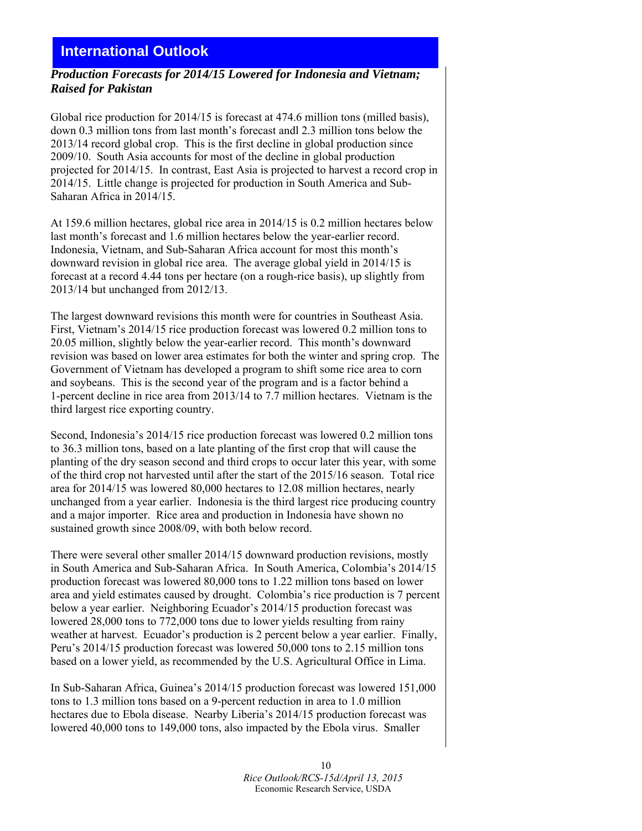# **International Outlook**

#### *Production Forecasts for 2014/15 Lowered for Indonesia and Vietnam; Raised for Pakistan*

Global rice production for 2014/15 is forecast at 474.6 million tons (milled basis), down 0.3 million tons from last month's forecast andl 2.3 million tons below the 2013/14 record global crop. This is the first decline in global production since 2009/10. South Asia accounts for most of the decline in global production projected for 2014/15. In contrast, East Asia is projected to harvest a record crop in 2014/15. Little change is projected for production in South America and Sub-Saharan Africa in 2014/15.

At 159.6 million hectares, global rice area in 2014/15 is 0.2 million hectares below last month's forecast and 1.6 million hectares below the year-earlier record. Indonesia, Vietnam, and Sub-Saharan Africa account for most this month's downward revision in global rice area. The average global yield in 2014/15 is forecast at a record 4.44 tons per hectare (on a rough-rice basis), up slightly from 2013/14 but unchanged from 2012/13.

The largest downward revisions this month were for countries in Southeast Asia. First, Vietnam's 2014/15 rice production forecast was lowered 0.2 million tons to 20.05 million, slightly below the year-earlier record. This month's downward revision was based on lower area estimates for both the winter and spring crop. The Government of Vietnam has developed a program to shift some rice area to corn and soybeans. This is the second year of the program and is a factor behind a 1-percent decline in rice area from 2013/14 to 7.7 million hectares. Vietnam is the third largest rice exporting country.

Second, Indonesia's 2014/15 rice production forecast was lowered 0.2 million tons to 36.3 million tons, based on a late planting of the first crop that will cause the planting of the dry season second and third crops to occur later this year, with some of the third crop not harvested until after the start of the 2015/16 season. Total rice area for 2014/15 was lowered 80,000 hectares to 12.08 million hectares, nearly unchanged from a year earlier. Indonesia is the third largest rice producing country and a major importer. Rice area and production in Indonesia have shown no sustained growth since 2008/09, with both below record.

There were several other smaller 2014/15 downward production revisions, mostly in South America and Sub-Saharan Africa. In South America, Colombia's 2014/15 production forecast was lowered 80,000 tons to 1.22 million tons based on lower area and yield estimates caused by drought. Colombia's rice production is 7 percent below a year earlier. Neighboring Ecuador's 2014/15 production forecast was lowered 28,000 tons to 772,000 tons due to lower yields resulting from rainy weather at harvest. Ecuador's production is 2 percent below a year earlier. Finally, Peru's 2014/15 production forecast was lowered 50,000 tons to 2.15 million tons based on a lower yield, as recommended by the U.S. Agricultural Office in Lima.

In Sub-Saharan Africa, Guinea's 2014/15 production forecast was lowered 151,000 tons to 1.3 million tons based on a 9-percent reduction in area to 1.0 million hectares due to Ebola disease. Nearby Liberia's 2014/15 production forecast was lowered 40,000 tons to 149,000 tons, also impacted by the Ebola virus. Smaller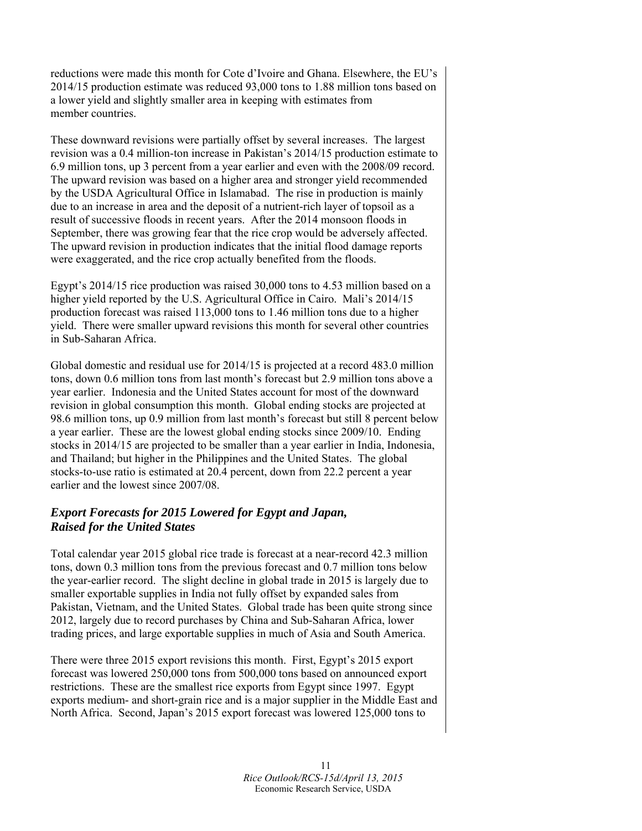reductions were made this month for Cote d'Ivoire and Ghana. Elsewhere, the EU's 2014/15 production estimate was reduced 93,000 tons to 1.88 million tons based on a lower yield and slightly smaller area in keeping with estimates from member countries.

These downward revisions were partially offset by several increases. The largest revision was a 0.4 million-ton increase in Pakistan's 2014/15 production estimate to 6.9 million tons, up 3 percent from a year earlier and even with the 2008/09 record. The upward revision was based on a higher area and stronger yield recommended by the USDA Agricultural Office in Islamabad. The rise in production is mainly due to an increase in area and the deposit of a nutrient-rich layer of topsoil as a result of successive floods in recent years. After the 2014 monsoon floods in September, there was growing fear that the rice crop would be adversely affected. The upward revision in production indicates that the initial flood damage reports were exaggerated, and the rice crop actually benefited from the floods.

Egypt's 2014/15 rice production was raised 30,000 tons to 4.53 million based on a higher yield reported by the U.S. Agricultural Office in Cairo. Mali's 2014/15 production forecast was raised 113,000 tons to 1.46 million tons due to a higher yield. There were smaller upward revisions this month for several other countries in Sub-Saharan Africa.

Global domestic and residual use for 2014/15 is projected at a record 483.0 million tons, down 0.6 million tons from last month's forecast but 2.9 million tons above a year earlier. Indonesia and the United States account for most of the downward revision in global consumption this month. Global ending stocks are projected at 98.6 million tons, up 0.9 million from last month's forecast but still 8 percent below a year earlier. These are the lowest global ending stocks since 2009/10. Ending stocks in 2014/15 are projected to be smaller than a year earlier in India, Indonesia, and Thailand; but higher in the Philippines and the United States. The global stocks-to-use ratio is estimated at 20.4 percent, down from 22.2 percent a year earlier and the lowest since 2007/08.

# *Export Forecasts for 2015 Lowered for Egypt and Japan, Raised for the United States*

Total calendar year 2015 global rice trade is forecast at a near-record 42.3 million tons, down 0.3 million tons from the previous forecast and 0.7 million tons below the year-earlier record. The slight decline in global trade in 2015 is largely due to smaller exportable supplies in India not fully offset by expanded sales from Pakistan, Vietnam, and the United States. Global trade has been quite strong since 2012, largely due to record purchases by China and Sub-Saharan Africa, lower trading prices, and large exportable supplies in much of Asia and South America.

There were three 2015 export revisions this month. First, Egypt's 2015 export forecast was lowered 250,000 tons from 500,000 tons based on announced export restrictions. These are the smallest rice exports from Egypt since 1997. Egypt exports medium- and short-grain rice and is a major supplier in the Middle East and North Africa. Second, Japan's 2015 export forecast was lowered 125,000 tons to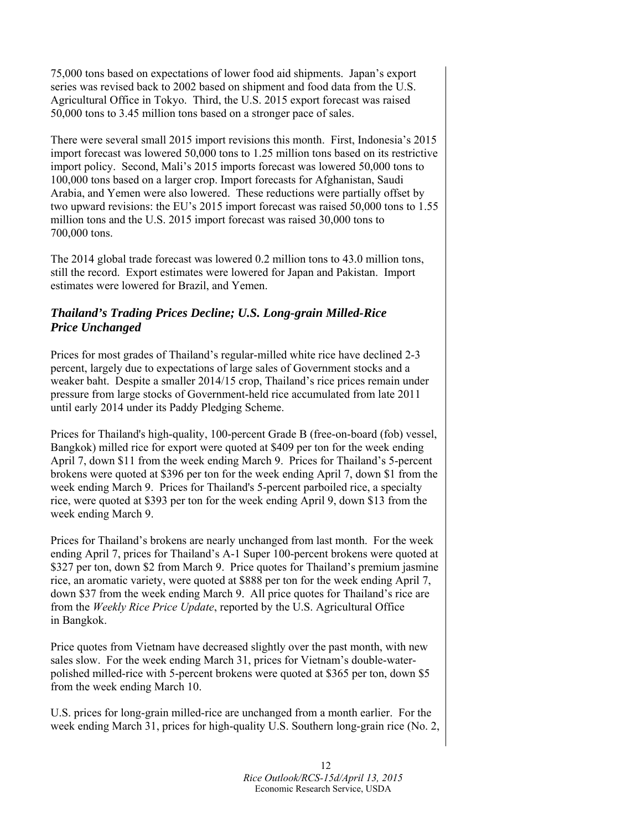75,000 tons based on expectations of lower food aid shipments. Japan's export series was revised back to 2002 based on shipment and food data from the U.S. Agricultural Office in Tokyo. Third, the U.S. 2015 export forecast was raised 50,000 tons to 3.45 million tons based on a stronger pace of sales.

There were several small 2015 import revisions this month. First, Indonesia's 2015 import forecast was lowered 50,000 tons to 1.25 million tons based on its restrictive import policy. Second, Mali's 2015 imports forecast was lowered 50,000 tons to 100,000 tons based on a larger crop. Import forecasts for Afghanistan, Saudi Arabia, and Yemen were also lowered. These reductions were partially offset by two upward revisions: the EU's 2015 import forecast was raised 50,000 tons to 1.55 million tons and the U.S. 2015 import forecast was raised 30,000 tons to 700,000 tons.

The 2014 global trade forecast was lowered 0.2 million tons to 43.0 million tons, still the record. Export estimates were lowered for Japan and Pakistan. Import estimates were lowered for Brazil, and Yemen.

# *Thailand's Trading Prices Decline; U.S. Long-grain Milled-Rice Price Unchanged*

Prices for most grades of Thailand's regular-milled white rice have declined 2-3 percent, largely due to expectations of large sales of Government stocks and a weaker baht. Despite a smaller 2014/15 crop, Thailand's rice prices remain under pressure from large stocks of Government-held rice accumulated from late 2011 until early 2014 under its Paddy Pledging Scheme.

Prices for Thailand's high-quality, 100-percent Grade B (free-on-board (fob) vessel, Bangkok) milled rice for export were quoted at \$409 per ton for the week ending April 7, down \$11 from the week ending March 9. Prices for Thailand's 5-percent brokens were quoted at \$396 per ton for the week ending April 7, down \$1 from the week ending March 9. Prices for Thailand's 5-percent parboiled rice, a specialty rice, were quoted at \$393 per ton for the week ending April 9, down \$13 from the week ending March 9.

Prices for Thailand's brokens are nearly unchanged from last month. For the week ending April 7, prices for Thailand's A-1 Super 100-percent brokens were quoted at \$327 per ton, down \$2 from March 9. Price quotes for Thailand's premium jasmine rice, an aromatic variety, were quoted at \$888 per ton for the week ending April 7, down \$37 from the week ending March 9. All price quotes for Thailand's rice are from the *Weekly Rice Price Update*, reported by the U.S. Agricultural Office in Bangkok.

Price quotes from Vietnam have decreased slightly over the past month, with new sales slow. For the week ending March 31, prices for Vietnam's double-waterpolished milled-rice with 5-percent brokens were quoted at \$365 per ton, down \$5 from the week ending March 10.

U.S. prices for long-grain milled-rice are unchanged from a month earlier. For the week ending March 31, prices for high-quality U.S. Southern long-grain rice (No. 2,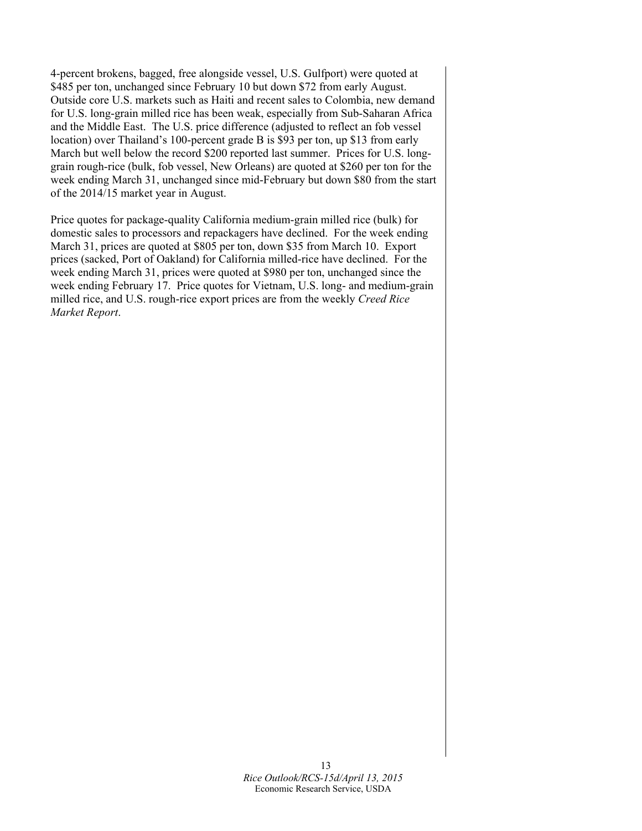4-percent brokens, bagged, free alongside vessel, U.S. Gulfport) were quoted at \$485 per ton, unchanged since February 10 but down \$72 from early August. Outside core U.S. markets such as Haiti and recent sales to Colombia, new demand for U.S. long-grain milled rice has been weak, especially from Sub-Saharan Africa and the Middle East. The U.S. price difference (adjusted to reflect an fob vessel location) over Thailand's 100-percent grade B is \$93 per ton, up \$13 from early March but well below the record \$200 reported last summer. Prices for U.S. longgrain rough-rice (bulk, fob vessel, New Orleans) are quoted at \$260 per ton for the week ending March 31, unchanged since mid-February but down \$80 from the start of the 2014/15 market year in August.

Price quotes for package-quality California medium-grain milled rice (bulk) for domestic sales to processors and repackagers have declined. For the week ending March 31, prices are quoted at \$805 per ton, down \$35 from March 10. Export prices (sacked, Port of Oakland) for California milled-rice have declined. For the week ending March 31, prices were quoted at \$980 per ton, unchanged since the week ending February 17. Price quotes for Vietnam, U.S. long- and medium-grain milled rice, and U.S. rough-rice export prices are from the weekly *Creed Rice Market Report*.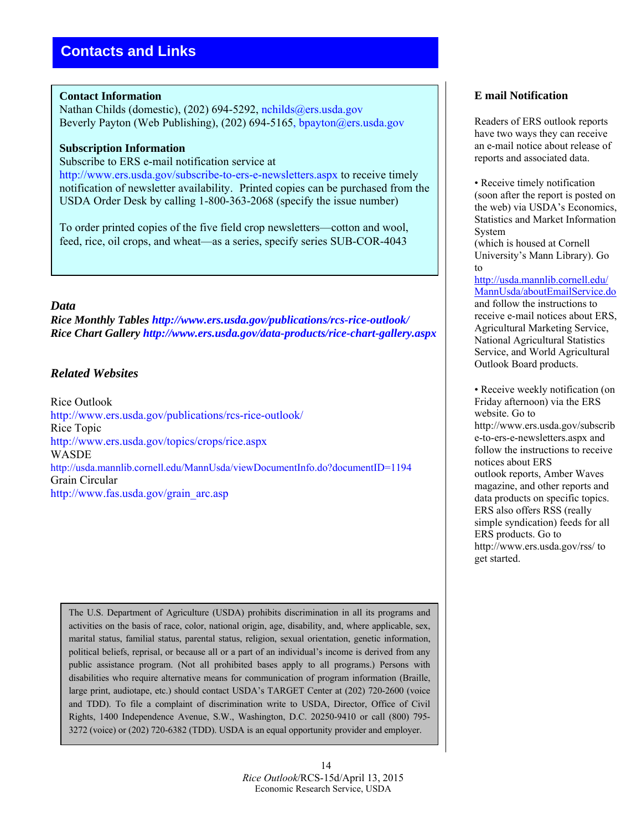#### **Contact Information**

Nathan Childs (domestic), (202) 694-5292, nchilds@ers.usda.gov Beverly Payton (Web Publishing), (202) 694-5165, bpayton@ers.usda.gov

#### **Subscription Information**

Subscribe to ERS e-mail notification service at http://www.ers.usda.gov/subscribe-to-ers-e-newsletters.aspx to receive timely notification of newsletter availability. Printed copies can be purchased from the USDA Order Desk by calling 1-800-363-2068 (specify the issue number)

To order printed copies of the five field crop newsletters—cotton and wool, feed, rice, oil crops, and wheat—as a series, specify series SUB-COR-4043

#### *Data*

*Rice Monthly Tables http://www.ers.usda.gov/publications/rcs-rice-outlook/ Rice Chart Gallery http://www.ers.usda.gov/data-products/rice-chart-gallery.aspx*

#### *Related Websites*

Rice Outlook http://www.ers.usda.gov/publications/rcs-rice-outlook/ Rice Topic http://www.ers.usda.gov/topics/crops/rice.aspx **WASDE** http://usda.mannlib.cornell.edu/MannUsda/viewDocumentInfo.do?documentID=1194 Grain Circular http://www.fas.usda.gov/grain\_arc.asp

The U.S. Department of Agriculture (USDA) prohibits discrimination in all its programs and activities on the basis of race, color, national origin, age, disability, and, where applicable, sex, marital status, familial status, parental status, religion, sexual orientation, genetic information, political beliefs, reprisal, or because all or a part of an individual's income is derived from any public assistance program. (Not all prohibited bases apply to all programs.) Persons with disabilities who require alternative means for communication of program information (Braille, large print, audiotape, etc.) should contact USDA's TARGET Center at (202) 720-2600 (voice and TDD). To file a complaint of discrimination write to USDA, Director, Office of Civil Rights, 1400 Independence Avenue, S.W., Washington, D.C. 20250-9410 or call (800) 795- 3272 (voice) or (202) 720-6382 (TDD). USDA is an equal opportunity provider and employer.

#### **E mail Notification**

Readers of ERS outlook reports have two ways they can receive an e-mail notice about release of reports and associated data.

• Receive timely notification (soon after the report is posted on the web) via USDA's Economics, Statistics and Market Information System

(which is housed at Cornell University's Mann Library). Go to

http://usda.mannlib.cornell.edu/ MannUsda/aboutEmailService.do and follow the instructions to receive e-mail notices about ERS, Agricultural Marketing Service, National Agricultural Statistics Service, and World Agricultural Outlook Board products.

• Receive weekly notification (on Friday afternoon) via the ERS website. Go to http://www.ers.usda.gov/subscrib e-to-ers-e-newsletters.aspx and follow the instructions to receive notices about ERS outlook reports, Amber Waves magazine, and other reports and data products on specific topics. ERS also offers RSS (really simple syndication) feeds for all ERS products. Go to http://www.ers.usda.gov/rss/ to get started.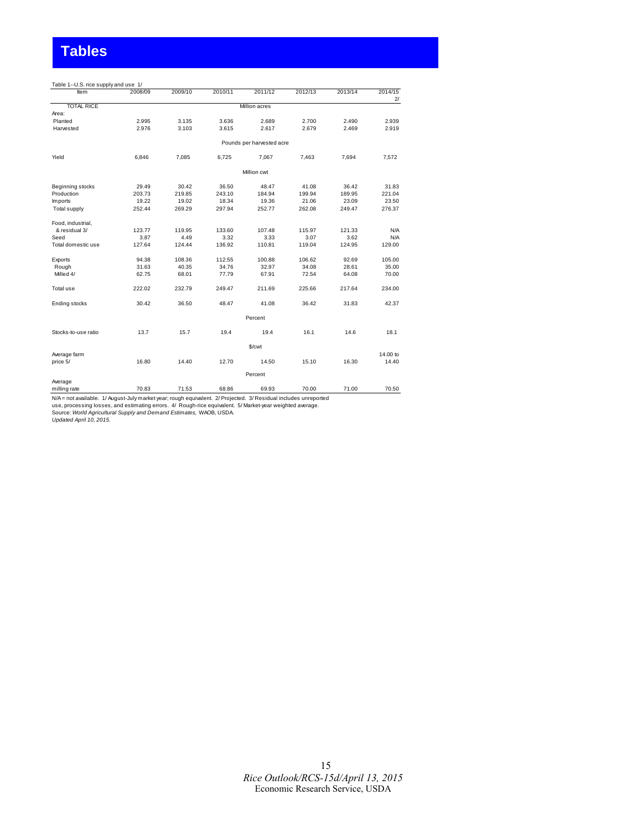# **Tables**

| Table 1--U.S. rice supply and use 1/ |         |         |         |                           |         |         |               |
|--------------------------------------|---------|---------|---------|---------------------------|---------|---------|---------------|
| Item                                 | 2008/09 | 2009/10 | 2010/11 | 2011/12                   | 2012/13 | 2013/14 | 2014/15<br>2l |
| <b>TOTAL RICE</b>                    |         |         |         | Million acres             |         |         |               |
| Area:                                |         |         |         |                           |         |         |               |
| Planted                              | 2.995   | 3.135   | 3.636   | 2.689                     | 2.700   | 2.490   | 2.939         |
| Harvested                            | 2.976   | 3.103   | 3.615   | 2.617                     | 2.679   | 2.469   | 2.919         |
|                                      |         |         |         | Pounds per harvested acre |         |         |               |
| Yield                                | 6,846   | 7,085   | 6,725   | 7,067                     | 7,463   | 7,694   | 7,572         |
|                                      |         |         |         | Million cwt               |         |         |               |
| Beginning stocks                     | 29.49   | 30.42   | 36.50   | 48.47                     | 41.08   | 36.42   | 31.83         |
| Production                           | 203.73  | 219.85  | 243.10  | 184.94                    | 199.94  | 189.95  | 221.04        |
| Imports                              | 19.22   | 19.02   | 18.34   | 19.36                     | 21.06   | 23.09   | 23.50         |
| Total supply                         | 252.44  | 269.29  | 297.94  | 252.77                    | 262.08  | 249.47  | 276.37        |
| Food, industrial,                    |         |         |         |                           |         |         |               |
| & residual 3/                        | 123.77  | 119.95  | 133.60  | 107.48                    | 115.97  | 121.33  | N/A           |
| Seed                                 | 3.87    | 4.49    | 3.32    | 3.33                      | 3.07    | 3.62    | N/A           |
| Total domestic use                   | 127.64  | 124.44  | 136.92  | 110.81                    | 119.04  | 124.95  | 129.00        |
| Exports                              | 94.38   | 108.36  | 112.55  | 100.88                    | 106.62  | 92.69   | 105.00        |
| Rough                                | 31.63   | 40.35   | 34.76   | 32.97                     | 34.08   | 28.61   | 35.00         |
| Milled 4/                            | 62.75   | 68.01   | 77.79   | 67.91                     | 72.54   | 64.08   | 70.00         |
| Total use                            | 222.02  | 232.79  | 249.47  | 211.69                    | 225.66  | 217.64  | 234.00        |
| Ending stocks                        | 30.42   | 36.50   | 48.47   | 41.08                     | 36.42   | 31.83   | 42.37         |
|                                      |         |         |         | Percent                   |         |         |               |
| Stocks-to-use ratio                  | 13.7    | 15.7    | 19.4    | 19.4                      | 16.1    | 14.6    | 18.1          |
|                                      |         |         |         | \$/cwt                    |         |         |               |
| Average farm                         |         |         |         |                           |         |         | 14,00 to      |
| price 5/                             | 16.80   | 14.40   | 12.70   | 14.50                     | 15.10   | 16.30   | 14.40         |
|                                      |         |         |         | Percent                   |         |         |               |
| Average                              |         |         |         |                           |         |         |               |
| milling rate                         | 70.83   | 71.53   | 68.86   | 69.93                     | 70.00   | 71.00   | 70.50         |

N/A = not available. 1/ August-July market year; rough equivalent. 2/ Projected. 3/ Residual includes unreported<br>use, processing losses, and estimating errors. 4/ Rough-rice equivalent. 5/ Market-year weighted averag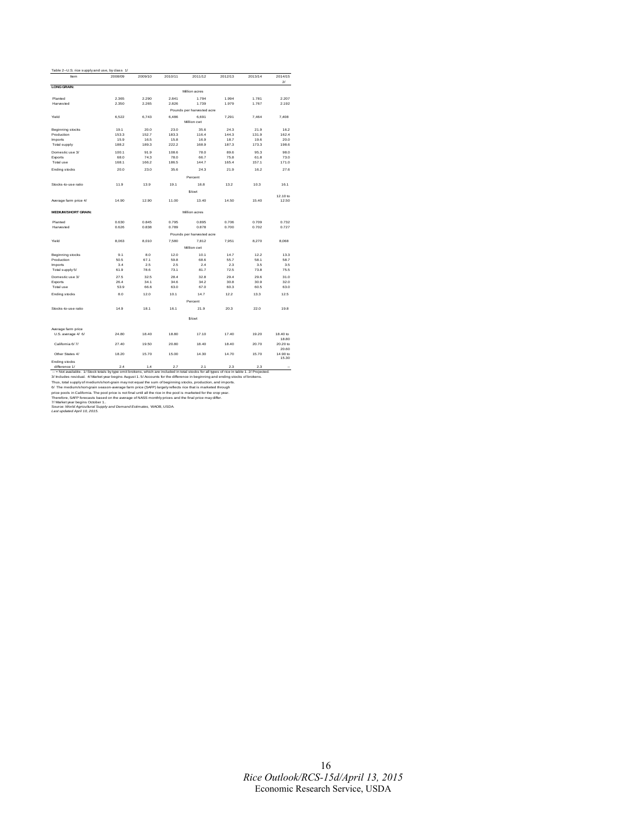| Table 2--U.S. rice supply and use, by class 1/ |         |               |         |                           |               |         |                    |
|------------------------------------------------|---------|---------------|---------|---------------------------|---------------|---------|--------------------|
| Item                                           | 2008/09 | 2009/10       | 2010/11 | 2011/12                   | 2012/13       | 2013/14 | 2014/15<br>$2^{j}$ |
| <b>LONG GRAIN:</b>                             |         |               |         | Million acres             |               |         |                    |
| Planted                                        | 2.365   | 2.290         | 2.841   | 1.794                     | 1.994         | 1.781   | 2.207              |
| Harvested                                      | 2.350   | 2.265         | 2.826   | 1.739                     | 1.979         | 1.767   | 2.192              |
|                                                |         |               |         |                           |               |         |                    |
|                                                |         |               |         | Pounds per harvested acre |               |         |                    |
| Yield                                          | 6.522   | 6.743         | 6.486   | 6.691<br>Million cwt      | 7.291         | 7.464   | 7.408              |
|                                                | 19.1    |               | 23.0    | 35.6                      |               | 21.9    | 16.2               |
| Beginning stocks<br>Production                 | 153.3   | 20.0<br>152.7 | 183.3   | 116.4                     | 24.3<br>144.3 | 131.9   | 162.4              |
| <b>Imports</b>                                 | 15.9    | 16.5          | 15.8    | 16.9                      | 18.7          | 19.6    | 20.0               |
| Total supply                                   | 188.2   | 189.3         | 222.2   | 168.9                     | 187.3         | 173.3   | 198.6              |
|                                                |         |               |         |                           |               |         |                    |
| Domestic use 3/                                | 100.1   | 91.9          | 108.6   | 78.0                      | 89.6          | 95.3    | 98.0               |
| Exports                                        | 68.0    | 74.3          | 78.0    | 66.7                      | 75.8          | 61.8    | 73.0               |
| Total use                                      | 168.1   | 166.2         | 186.5   | 144.7                     | 165.4         | 157.1   | 171.0              |
| Ending stocks                                  | 20.0    | 23.0          | 35.6    | 24.3                      | 21.9          | 16.2    | 27.6               |
|                                                |         |               |         | Percent                   |               |         |                    |
| Stocks-to-use ratio                            | 11.9    | 13.9          | 19.1    | 16.8                      | 13.2          | 10.3    | 16.1               |
|                                                |         |               |         | \$/cwt                    |               |         |                    |
|                                                |         |               |         |                           |               |         | 12.10 to           |
| Average farm price 4/                          | 14.90   | 12.90         | 11.00   | 13.40                     | 14.50         | 15.40   | 12.50              |
| <b>MEDIUM/SHORT GRAIN:</b>                     |         |               |         | Million acres             |               |         |                    |
| Planted                                        | 0.630   | 0.845         | 0.795   | 0.895                     | 0.706         | 0.709   | 0.732              |
| Harvested                                      | 0.626   | 0.838         | 0.789   | 0.878                     | 0.700         | 0.702   | 0.727              |
|                                                |         |               |         | Pounds per harvested acre |               |         |                    |
| Yield                                          | 8.063   | 8.010         | 7.580   | 7.812                     | 7.951         | 8.270   | 8.068              |
|                                                |         |               |         | Million cwt               |               |         |                    |
| Beginning stocks                               | 9.1     | 8.0           | 12.0    | 10.1                      | 14.7          | 12.2    | 13.3               |
| Production                                     | 50.5    | 67.1          | 59.8    | 68.6                      | 55.7          | 58.1    | 58.7               |
| <b>Imports</b>                                 | 3.4     | 2.5           | 2.5     | 2.4                       | 2.3           | 3.5     | 3.5                |
| Total supply 5/                                | 61.9    | 78.6          | 73.1    | 81.7                      | 72.5          | 73.8    | 75.5               |
| Domestic use 3/                                | 27.5    | 32.5          | 28.4    | 32.8                      | 29.4          | 29.6    | 31.0               |
| Exports                                        | 26.4    | 34.1          | 34.6    | 34.2                      | 30.8          | 30.9    | 32.0               |
| Total use                                      | 53.9    | 66.6          | 63.0    | 67.0                      | 60.3          | 60.5    | 63.0               |
| Ending stocks                                  | 8.0     | 12.0          | 10.1    | 14.7                      | 12.2          | 13.3    | 12.5               |
|                                                |         |               |         | Percent                   |               |         |                    |
| Stocks-to-use ratio                            | 14.9    | 18.1          | 16.1    | 21.9                      | 20.3          | 22.0    | 19.8               |
|                                                |         |               |         | \$/cwt                    |               |         |                    |
| Average farm price                             |         |               |         |                           |               |         |                    |
| U.S. average 4/ 6/                             | 24.80   | 18.40         | 18.80   | 17.10                     | 17.40         | 19.20   | 18.40 to           |
|                                                |         |               |         |                           |               |         | 18.80              |
| California 6/7/                                | 27.40   | 19.50         | 20.80   | 18.40                     | 18.40         | 20.70   | 20.20 to           |
|                                                |         |               |         |                           |               |         | 20.60              |
| Other States 4/                                | 18.20   | 15.70         | 15.00   | 14.30                     | 14.70         | 15.70   | 14.90 to<br>15.30  |
| Ending stocks                                  |         |               |         |                           |               |         |                    |
| difference 1/                                  | 2.4     | 1.4           | 2.7     | 2.1                       | 2.3           | 2.3     | $\sim$             |

Ending stocks<br>
and difference 1/<br>
and difference 1/<br>
and the most of the simulation of the most of the most of the difference in beginning and ending stocks of the<br>
Simulation of the simulation of the simulation of the sim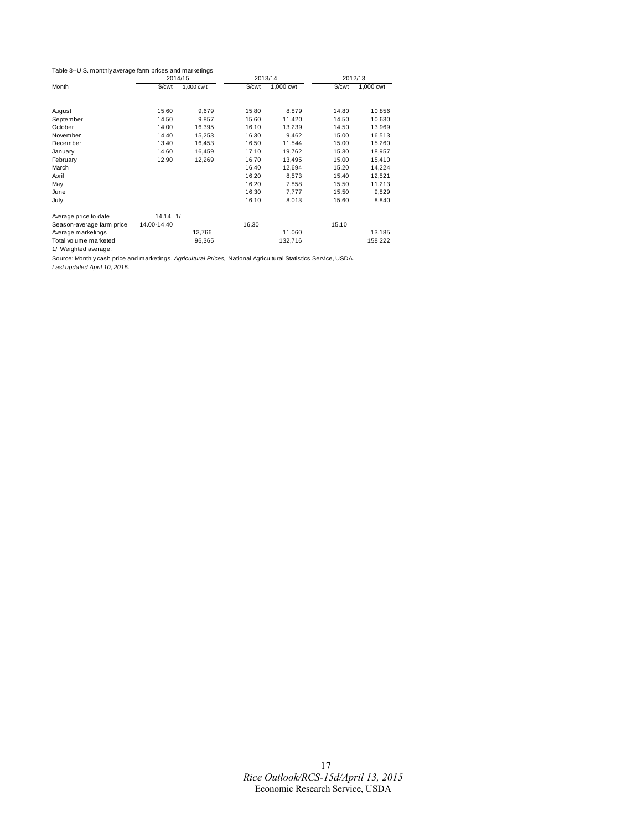Table 3--U.S. monthly average farm prices and marketings

|                           | 2014/15      |           |        | 2013/14   |        | 2012/13   |
|---------------------------|--------------|-----------|--------|-----------|--------|-----------|
| Month                     | \$/cwt       | 1,000 cwt | \$/cwt | 1,000 cwt | \$/cwt | 1,000 cwt |
|                           |              |           |        |           |        |           |
| August                    | 15.60        | 9,679     | 15.80  | 8,879     | 14.80  | 10,856    |
| September                 | 14.50        | 9,857     | 15.60  | 11,420    | 14.50  | 10,630    |
| October                   | 14.00        | 16,395    | 16.10  | 13,239    | 14.50  | 13,969    |
| November                  | 14.40        | 15,253    | 16.30  | 9,462     | 15.00  | 16,513    |
| December                  | 13.40        | 16,453    | 16.50  | 11,544    | 15.00  | 15,260    |
| January                   | 14.60        | 16,459    | 17.10  | 19,762    | 15.30  | 18,957    |
| February                  | 12.90        | 12,269    | 16.70  | 13,495    | 15.00  | 15,410    |
| March                     |              |           | 16.40  | 12,694    | 15.20  | 14,224    |
| April                     |              |           | 16.20  | 8,573     | 15.40  | 12,521    |
| May                       |              |           | 16.20  | 7,858     | 15.50  | 11,213    |
| June                      |              |           | 16.30  | 7,777     | 15.50  | 9,829     |
| July                      |              |           | 16.10  | 8,013     | 15.60  | 8,840     |
| Average price to date     | $14.14$ $1/$ |           |        |           |        |           |
| Season-average farm price | 14.00-14.40  |           | 16.30  |           | 15.10  |           |
| Average marketings        |              | 13,766    |        | 11,060    |        | 13,185    |
| Total volume marketed     |              | 96.365    |        | 132,716   |        | 158,222   |

1/ Weighted average.

Source: Monthly cash price and marketings, *Agricultural Prices,* National Agricultural Statistics Service, USDA.

*Last updated April 10, 2015.*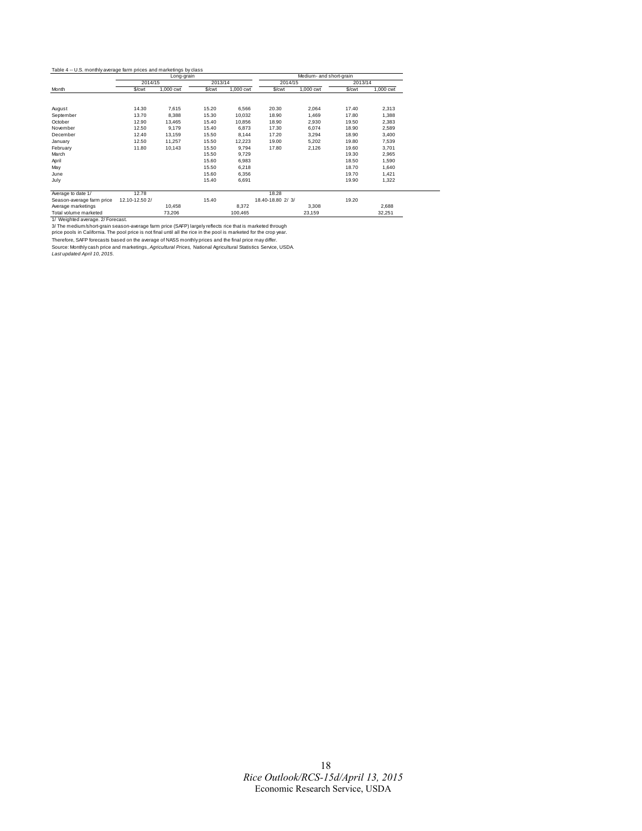|                           |                | Long-grain |         |           |                   | Medium- and short-grain |         |           |
|---------------------------|----------------|------------|---------|-----------|-------------------|-------------------------|---------|-----------|
|                           | 2014/15        |            | 2013/14 |           | 2014/15           |                         | 2013/14 |           |
| Month                     | \$/cwt         | 1,000 cwt  | \$/cwt  | 1,000 cwt | \$/cwt            | 1,000 cwt               | \$/cwt  | 1,000 cwt |
|                           |                |            |         |           |                   |                         |         |           |
| August                    | 14.30          | 7.615      | 15.20   | 6,566     | 20.30             | 2.064                   | 17.40   | 2,313     |
| September                 | 13.70          | 8,388      | 15.30   | 10,032    | 18.90             | 1,469                   | 17.80   | 1,388     |
| October                   | 12.90          | 13,465     | 15.40   | 10,856    | 18.90             | 2,930                   | 19.50   | 2,383     |
| November                  | 12.50          | 9,179      | 15.40   | 6,873     | 17.30             | 6,074                   | 18.90   | 2,589     |
| December                  | 12.40          | 13,159     | 15.50   | 8,144     | 17.20             | 3,294                   | 18.90   | 3,400     |
| January                   | 12.50          | 11,257     | 15.50   | 12,223    | 19.00             | 5,202                   | 19.80   | 7,539     |
| February                  | 11.80          | 10,143     | 15.50   | 9,794     | 17.80             | 2,126                   | 19.60   | 3,701     |
| March                     |                |            | 15.50   | 9,729     |                   |                         | 19.30   | 2,965     |
| April                     |                |            | 15.60   | 6,983     |                   |                         | 18.50   | 1,590     |
| May                       |                |            | 15.50   | 6,218     |                   |                         | 18.70   | 1,640     |
| June                      |                |            | 15.60   | 6,356     |                   |                         | 19.70   | 1,421     |
| July                      |                |            | 15.40   | 6,691     |                   |                         | 19.90   | 1,322     |
| Average to date 1/        | 12.78          |            |         |           | 18.28             |                         |         |           |
| Season-average farm price | 12.10-12.50 2/ |            | 15.40   |           | 18.40-18.80 2/ 3/ |                         | 19.20   |           |
| Average marketings        |                | 10,458     |         | 8,372     |                   | 3,308                   |         | 2,688     |
| Total volume marketed     |                | 73.206     |         | 100.465   |                   | 23.159                  |         | 32.251    |

Total volume marketed<br>
173,206 100,465 22,159 22,515<br>
1979 (Subject a werange. 2/Forecast.<br>
1979 The medium/short-grain season-average farm price (SAFP) largely reflects rice that is marketed through<br>
1970 The medium/short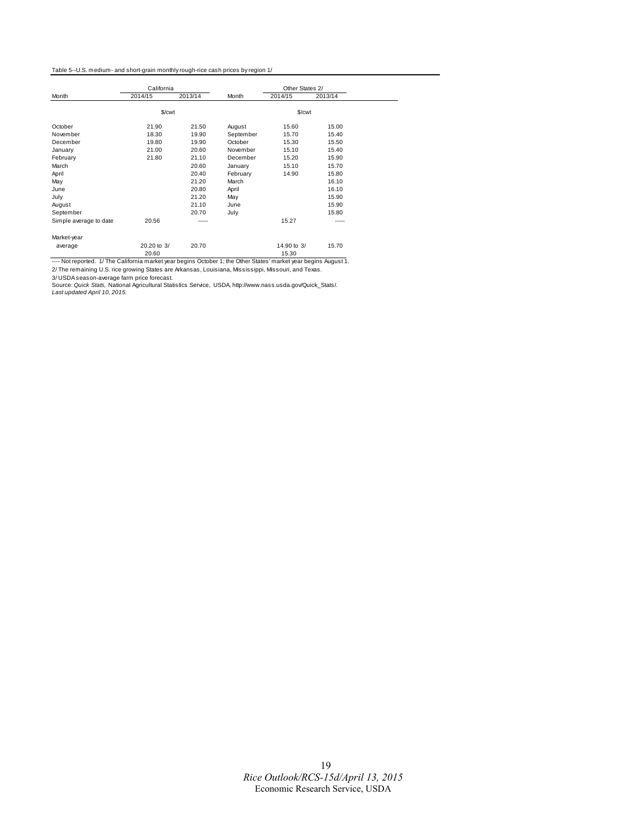#### Table 5--U.S. medium- and short-grain monthly rough-rice cash prices by region 1/

|                        | California  |         |           | Other States 2/ |         |  |
|------------------------|-------------|---------|-----------|-----------------|---------|--|
| Month                  | 2014/15     | 2013/14 | Month     | 2014/15         | 2013/14 |  |
|                        | \$/cwt      |         |           | \$/cwt          |         |  |
| October                | 21.90       | 21.50   | August    | 15.60           | 15.00   |  |
| November               | 18.30       | 19.90   | September | 15.70           | 15.40   |  |
| December               | 19.80       | 19.90   | October   | 15.30           | 15.50   |  |
| January                | 21.00       | 20.60   | November  | 15.10           | 15.40   |  |
| February               | 21.80       | 21.10   | December  | 15.20           | 15.90   |  |
| March                  |             | 20.60   | January   | 15.10           | 15.70   |  |
| April                  |             | 20.40   | February  | 14.90           | 15.80   |  |
| May                    |             | 21.20   | March     |                 | 16.10   |  |
| June                   |             | 20.80   | April     |                 | 16.10   |  |
| July                   |             | 21.20   | May       |                 | 15.90   |  |
| August                 |             | 21.10   | June      |                 | 15.90   |  |
| September              |             | 20.70   | July      |                 | 15.80   |  |
| Simple average to date | 20.56       | -----   |           | 15.27           | -----   |  |
| Market-year            |             |         |           |                 |         |  |
| average                | 20.20 to 3/ | 20.70   |           | 14,90 to 3/     | 15.70   |  |
|                        | 20.60       |         |           | 15.30           |         |  |

20.60 15.30 ---- Not reported. 1/ The California market year begins October 1; the Other States' market year begins August 1. 2/ The remaining U.S. rice growing States are Arkansas, Louisiana, Mississippi, Missouri, and Texas.

3/ USDA season-average farm price forecast.<br>Source: *Quick Stats,* National Agricultural Statistics Service, USDA, http://www.nass.usda.gov/Quick\_Stats/.<br>*Last updated April 10,* 20*15.*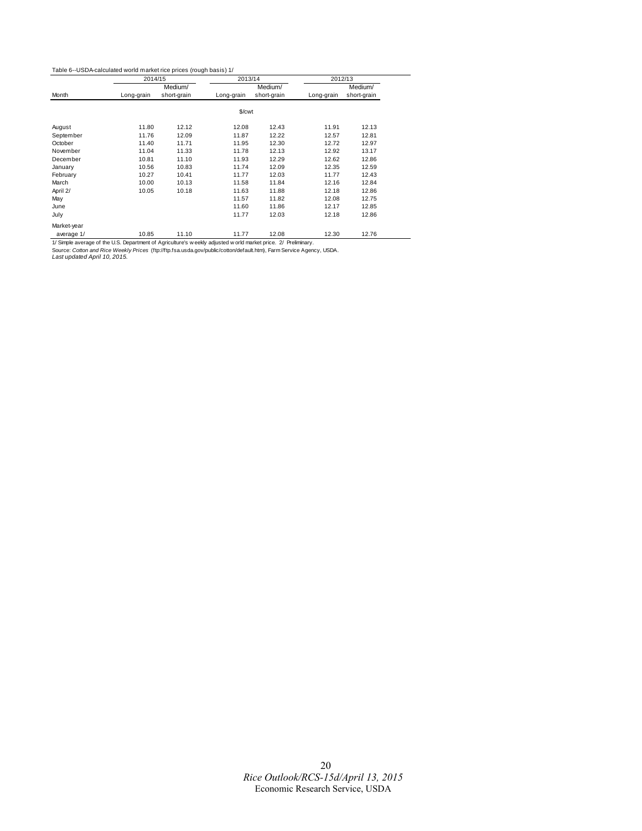#### Table 6--USDA-calculated world market rice prices (rough basis) 1/

|             | 2014/15    |             | 2013/14            |             | 2012/13    |             |
|-------------|------------|-------------|--------------------|-------------|------------|-------------|
|             |            | Medium/     |                    | Medium/     |            | Medium/     |
| Month       | Long-grain | short-grain | Long-grain         | short-grain | Long-grain | short-grain |
|             |            |             | \$/ <sub>cut</sub> |             |            |             |
| August      | 11.80      | 12.12       | 12.08              | 12.43       | 11.91      | 12.13       |
| September   | 11.76      | 12.09       | 11.87              | 12.22       | 12.57      | 12.81       |
| October     | 11.40      | 11.71       | 11.95              | 12.30       | 12.72      | 12.97       |
| November    | 11.04      | 11.33       | 11.78              | 12.13       | 12.92      | 13.17       |
| December    | 10.81      | 11.10       | 11.93              | 12.29       | 12.62      | 12.86       |
| January     | 10.56      | 10.83       | 11.74              | 12.09       | 12.35      | 12.59       |
| February    | 10.27      | 10.41       | 11.77              | 12.03       | 11.77      | 12.43       |
| March       | 10.00      | 10.13       | 11.58              | 11.84       | 12.16      | 12.84       |
| April 2/    | 10.05      | 10.18       | 11.63              | 11.88       | 12.18      | 12.86       |
| May         |            |             | 11.57              | 11.82       | 12.08      | 12.75       |
| June        |            |             | 11.60              | 11.86       | 12.17      | 12.85       |
| July        |            |             | 11.77              | 12.03       | 12.18      | 12.86       |
| Market-year |            |             |                    |             |            |             |
| average 1/  | 10.85      | 11.10       | 11.77              | 12.08       | 12.30      | 12.76       |

1/ Simple average of the U.S. Department of Agriculture's weekly adjusted world market price. 2/ Preliminary.<br>Source: *Cotton and Rice Weekly Prices* (ftp://ftp.fsa.usda.gov/public/cotton/default.htm), Farm Service Agency,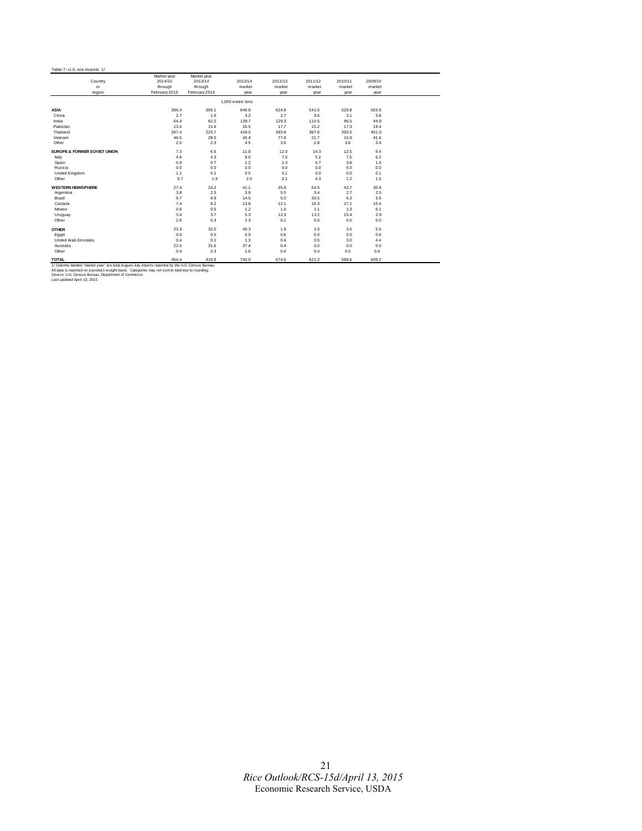|                                                                                                    | Market year   | Market year   |                   |         |         |         |         |  |
|----------------------------------------------------------------------------------------------------|---------------|---------------|-------------------|---------|---------|---------|---------|--|
| Country                                                                                            | 2014/15       | 2013/14       | 2013/14           | 2012/13 | 2011/12 | 2010/11 | 2009/10 |  |
| or                                                                                                 | through       | through       | market            | market  | market  | market  | market  |  |
| region                                                                                             | February 2015 | February 2014 | year              | year    | year    | year    | year    |  |
|                                                                                                    |               |               | 1,000 metric tons |         |         |         |         |  |
| <b>ASIA</b>                                                                                        | 396.4         | 356.1         | 646.8             | 624.8   | 541.5   | 529.8   | 563.9   |  |
| China                                                                                              | 2.7           | 1.9           | 3.2               | 2.7     | 3.6     | 3.1     | 3.8     |  |
| India                                                                                              | 64.4          | 82.2          | 138.7             | 129.3   | 110.5   | 96.5    | 94.8    |  |
| Pakistan                                                                                           | 13.4          | 15.6          | 26.5              | 17.7    | 15.2    | 17.3    | 19.4    |  |
| Thailand                                                                                           | 267.4         | 225.7         | 428.5             | 393.8   | 387.6   | 393.5   | 401.0   |  |
| Vietnam                                                                                            | 46.5          | 28.5          | 45.4              | 77.8    | 21.7    | 15.9    | 41.6    |  |
| Other                                                                                              | 2.0           | 2.3           | 4.5               | 3.6     | 2.8     | 3.6     | 3.4     |  |
| <b>EUROPE &amp; FORMER SOVIET UNION</b>                                                            | 7.3           | 6.5           | 11.8              | 12.0    | 14.3    | 12.5    | 9.4     |  |
| Italy                                                                                              | 4.6           | 4.3           | 8.0               | 7.5     | 5.2     | 7.5     | 6.2     |  |
| Spain                                                                                              | 0.9           | 0.7           | 1.2               | 2.3     | 4.7     | 3.8     | 1.6     |  |
| Russia                                                                                             | 0.0           | 0.0           | 0.0               | 0.0     | 0.0     | 0.0     | 0.0     |  |
| United Kingdom                                                                                     | 1.1           | 0.1           | 0.5               | 0.1     | 0.0     | 0.0     | 0.1     |  |
| Other                                                                                              | 0.7           | 1.4           | 2.0               | 2.1     | 4.3     | 1.2     | 1.5     |  |
| <b>WESTERN HEMISPHERE</b>                                                                          | 27.4          | 24.2          | 41.1              | 35.9    | 64.5    | 42.7    | 30.4    |  |
| Argentina                                                                                          | 3.8           | 2.5           | 3.9               | 5.5     | 3.4     | 2.7     | 2.5     |  |
| Brazil                                                                                             | 9.7           | 8.9           | 14.5              | 5.0     | 30.5    | 6.3     | 3.5     |  |
| Canada                                                                                             | 7.4           | 8.2           | 13.8              | 12.1    | 16.3    | 17.1    | 15.4    |  |
| Mexico                                                                                             | 0.6           | 0.5           | 1.2               | 1.0     | 1.1     | 1.3     | 6.1     |  |
| Uruguay                                                                                            | 3.4           | 3.7           | 5.3               | 12.3    | 13.2    | 15.4    | 2.9     |  |
| Other                                                                                              | 2.6           | 0.3           | 2.3               | 0.1     | 0.0     | 0.0     | 0.0     |  |
| <b>OTHER</b>                                                                                       | 23.3          | 32.0          | 40.3              | 1.9     | 1.0     | 3.5     | 5.5     |  |
| Egypt                                                                                              | 0.0           | 0.0           | 0.0               | 0.6     | 0.0     | 0.0     | 0.6     |  |
| United Arab Emirates                                                                               | 0.4           | 0.1           | 1.3               | 0.4     | 0.5     | 3.0     | 4.4     |  |
| Australia                                                                                          | 22.5          | 31.6          | 37.4              | 0.4     | 0.0     | 0.0     | 0.0     |  |
| Other                                                                                              | 0.4           | 0.3           | 1.6               | 0.4     | 0.4     | 0.5     | 0.4     |  |
| <b>TOTAL</b>                                                                                       | 454.4         | 418.8         | 740.0             | 674.6   | 621.2   | 588.6   | 609.2   |  |
| 1/ Columns labeled "market year" are total August-July imports reported by the U.S. Census Bureau. |               |               |                   |         |         |         |         |  |
| All data is reported on a product-weight basis. Categories may not sum to total due to rounding.   |               |               |                   |         |         |         |         |  |
| Source: U.S. Census Bureau, Department of Commerce.                                                |               |               |                   |         |         |         |         |  |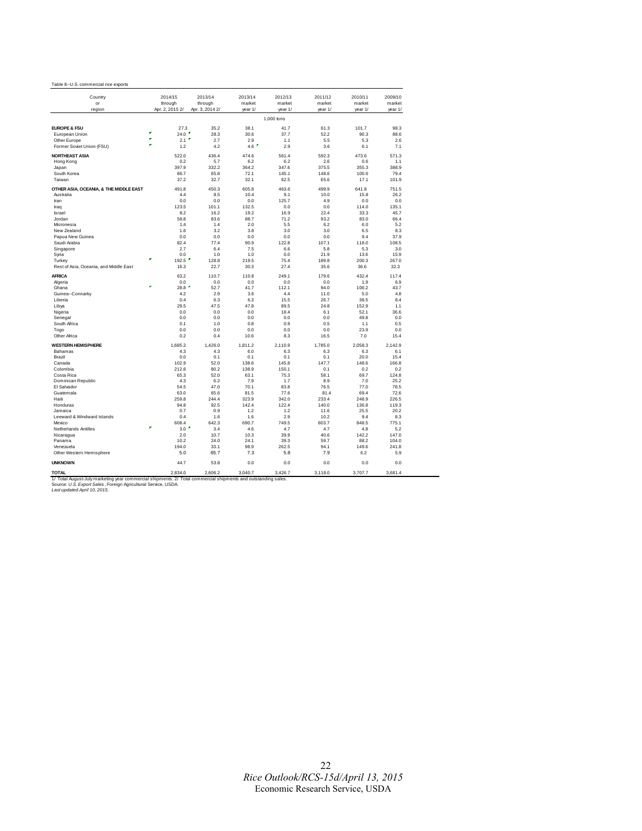| Table 8--U.S. commercial rice exports |  |
|---------------------------------------|--|

| Country                                |        | 2014/15                    | 2013/14                    | 2013/14<br>market | 2012/13<br>market | 2011/12<br>market | 2010/11<br>market | 2009/10           |
|----------------------------------------|--------|----------------------------|----------------------------|-------------------|-------------------|-------------------|-------------------|-------------------|
| or<br>region                           |        | through<br>Apr. 2, 2015 2/ | through<br>Apr. 3, 2014 2/ | year 1/           | year 1/           | year 1/           | year 1/           | market<br>year 1/ |
|                                        |        |                            |                            |                   |                   |                   |                   |                   |
|                                        |        |                            |                            |                   | 1,000 tons        |                   |                   |                   |
| <b>EUROPE &amp; FSU</b>                |        | 27.3                       | 35.2                       | 38.1              | 41.7              | 61.3              | 101.7             | 98.3              |
| European Union                         | ×      | 24.0 $"$                   | 28.3                       | 30.6              | 37.7              | 52.2              | 90.3              | 88.6              |
| Other Europe                           | ø<br>× | 2.1                        | 2.7                        | 2.9               | 1.1               | 5.5               | 5.3               | 2.6               |
| Former Soviet Union (FSU)              |        | 1.2                        | 4.2                        | 4.6               | 2.9               | 3.6               | 6.1               | 7.1               |
| NORTHEAST ASIA                         |        | 522.0                      | 436.4                      | 474.6             | 561.4             | 592.3             | 473.6             | 571.3             |
| Hong Kong                              |        | 0.2                        | 5.7                        | 6.2               | 6.2               | 2.6               | 0.6               | 1.1               |
| Japan                                  |        | 397.9                      | 332.2                      | 364.2             | 347.6             | 375.5             | 355.3             | 388.9             |
| South Korea                            |        | 86.7                       | 65.8                       | 72.1              | 145.1             | 148.6             | 100.6             | 79.4              |
| Taiwan                                 |        | 37.2                       | 32.7                       | 32.1              | 62.5              | 65.6              | 17.1              | 101.9             |
| OTHER ASIA, OCEANIA, & THE MIDDLE EAST |        | 491.8                      | 450.3                      | 605.8             | 463.6             | 499.9             | 641.8             | 751.5             |
| Australia                              |        | 4.4                        | 8.5                        | 10.4              | 9.1               | 10.0              | 15.8              | 26.2              |
| Iran                                   |        | 0.0                        | 0.0                        | 0.0               | 125.7             | 4.9               | 0.0               | 0.0               |
| Iraq                                   |        | 123.5                      | 101.1                      | 132.5             | 0.0               | 0.0               | 114.0             | 135.1             |
| <b>Israel</b>                          |        | 8.2                        | 16.2                       | 19.2              | 16.9              | 22.4              | 33.3              | 45.7              |
| Jordan                                 |        | 58.8                       | 83.6                       | 88.7              | 71.2              | 93.2              | 83.0              | 66.4              |
| Micronesia                             |        | 1.4                        | 1.4                        | 2.0               | 5.5               | 6.2               | 6.0               | 5.2               |
| New Zealand                            |        | 1.6                        | 3.2                        | 3.8               | 3.0               | 3.0               | 6.5               | 8.3               |
| Papua New Guinea<br>Saudi Arabia       |        | 0.0<br>82.4                | 0.0<br>77.4                | 0.0<br>90.9       | 0.0<br>122.8      | 0.0<br>107.1      | 9.4<br>118.0      | 37.9<br>108.5     |
| Singapore                              |        | 2.7                        | 6.4                        | 7.5               | 6.6               | 5.8               | 5.3               | 3.0               |
| Syria                                  |        | 0.0                        | 1.0                        | 1.0               | 0.0               | 21.9              | 13.6              | 15.9              |
| Turkey                                 | P      | г<br>192.5                 | 128.8                      | 219.5             | 75.4              | 189.8             | 200.3             | 267.0             |
| Rest of Asia, Oceania, and Middle East |        | 16.3                       | 22.7                       | 30.3              | 27.4              | 35.6              | 36.6              | 32.3              |
| AFRICA                                 |        | 63.2                       | 110.7                      | 110.8             | 249.1             | 179.6             | 432.4             | 117.4             |
| Algeria                                |        | 0.0                        | 0.0                        | 0.0               | 0.0               | 0.0               | 1.9               | 6.9               |
| Ghana                                  | ٠      | п<br>28.8                  | 52.7                       | 41.7              | 112.1             | 94.0              | 100.2             | 43.7              |
| Guinea--Connarky                       |        | 4.2                        | 2.9                        | 3.6               | 4.4               | 11.0              | 5.0               | 4.8               |
| Liberia                                |        | 0.4                        | 6.3                        | 6.3               | 15.5              | 26.7              | 38.5              | 8.4               |
| Libya                                  |        | 29.5                       | 47.5                       | 47.8              | 89.5              | 24.8              | 152.9             | 1.1               |
| Nigeria                                |        | 0.0                        | 0.0                        | 0.0               | 18.4              | 6.1               | 52.1              | 36.6              |
| Senegal                                |        | 0.0                        | 0.0                        | 0.0               | 0.0               | 0.0               | 49.8              | 0.0               |
| South Africa                           |        | 0.1                        | 1.0                        | 0.8               | 0.9               | 0.5               | 1.1               | 0.5               |
| Togo                                   |        | 0.0                        | 0.0                        | 0.0               | 0.0               | 0.0               | 23.9              | 0.0               |
| Other Africa                           |        | 0.2                        | 0.4                        | 10.6              | 8.3               | 16.5              | 7.0               | 15.4              |
| <b>WESTERN HEMISPHERE</b>              |        | 1.685.2                    | 1,426.0                    | 1,811.2           | 2,110.9           | 1,785.0           | 2,058.3           | 2,142.9           |
| Bahamas                                |        | 4.3                        | 4.3                        | 6.0               | 6.3               | 6.3               | 6.3               | 6.1               |
| Brazil                                 |        | 0.0                        | 0.1                        | 0.1               | 0.1               | 0.1               | 20.0              | 15.4              |
| Canada<br>Colombia                     |        | 102.9<br>212.6             | 52.0<br>80.2               | 138.6<br>138.9    | 145.8<br>150.1    | 147.7<br>0.1      | 148.6<br>0.2      | 166.8<br>0.2      |
| Costa Rica                             |        | 65.3                       | 52.0                       | 63.1              | 75.3              | 58.1              | 69.7              | 124.8             |
| Dominican Republic                     |        | 4.3                        | 6.2                        | 7.9               | 1.7               | 8.9               | 7.0               | 25.2              |
| El Salvador                            |        | 54.5                       | 47.0                       | 70.1              | 83.8              | 76.5              | 77.0              | 78.5              |
| Guatemala                              |        | 63.0                       | 65.6                       | 81.5              | 77.6              | 81.4              | 69.4              | 72.6              |
| Haiti                                  |        | 259.8                      | 244.4                      | 323.9             | 342.0             | 233.4             | 248.9             | 226.5             |
| Honduras                               |        | 94.8                       | 92.5                       | 142.4             | 122.4             | 140.0             | 136.8             | 119.3             |
| Jamaica                                |        | 0.7                        | 0.9                        | 1.2               | 1.2               | 11.6              | 25.5              | 20.2              |
| Leeward & Windward Islands             |        | 0.4                        | 1.6                        | 1.6               | 2.9               | 10.2              | 9.4               | 8.3               |
| Mexico                                 | P      | 608.4                      | 642.3                      | 690.7             | 749.5             | 803.7             | 848.5             | 775.1             |
| Netherlands Antilles                   |        | 3.0                        | 3.4                        | 4.6               | 4.7               | 4.7               | 4.8               | 5.2               |
| Nicaragua                              |        | 2.0<br>10.2                | 10.7<br>24.0               | 10.3<br>24.1      | 39.9<br>39.3      | 40.6<br>59.7      | 142.2             | 147.0             |
| Panama<br>Venezuela                    |        | 194.0                      | 33.1                       | 98.9              | 262.5             | 94.1              | 88.2<br>149.6     | 104.0<br>241.8    |
| Other Western Hemisphere               |        | 5.0                        | 65.7                       | 7.3               | 5.8               | 7.9               | 6.2               | 5.9               |
| <b>UNKNOWN</b>                         |        | 44.7                       | 53.8                       | 0.0               | 0.0               | 0.0               | 0.0               | 0.0               |
| <b>TOTAL</b>                           |        | 2.834.0                    | 2,606.2                    | 3,040.7           | 3,426.7           | 3,118.0           | 3,707.7           | 3,681.4           |
| the change of an advanced on the       |        |                            |                            |                   |                   |                   |                   |                   |

1/ Total August-July marketing year commercial shipments. 2/ Total commercial shipments and outstanding sales.<br>Source: *U.S. Export Sales,* Foreign Agricultural Service, USDA.<br>*Last updated April 10, 2015.*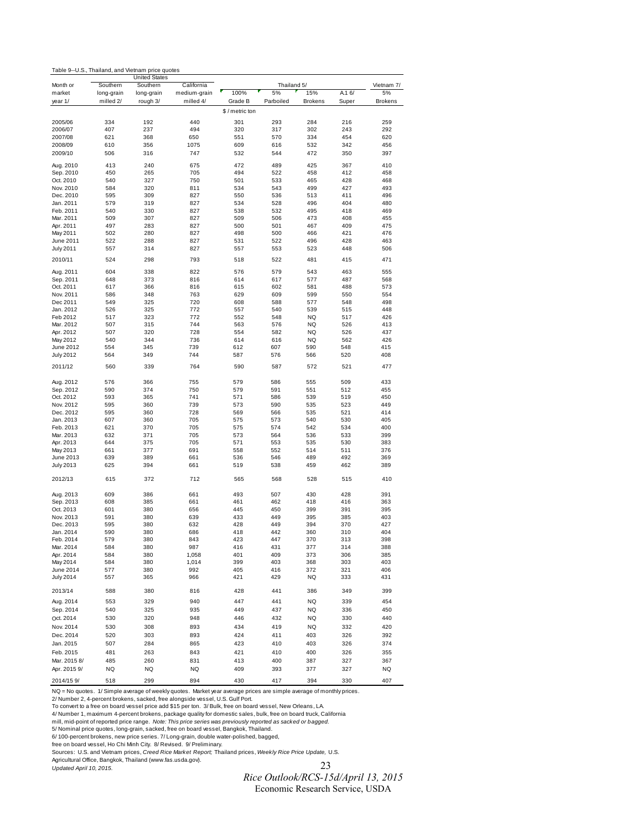| Table 9--U.S., Thailand, and Vietnam price quotes |
|---------------------------------------------------|
|---------------------------------------------------|

|                               |                         | <b>United States</b>   |                            |               |                   |                |            |                  |
|-------------------------------|-------------------------|------------------------|----------------------------|---------------|-------------------|----------------|------------|------------------|
| Month or<br>market            | Southern                | Southern               | California<br>medium-grain | 100%          | Thailand 5/<br>5% | 15%            | A.16/      | Vietnam 7/<br>5% |
| year 1/                       | long-grain<br>milled 2/ | long-grain<br>rough 3/ | milled 4/                  | Grade B       | Parboiled         | <b>Brokens</b> | Super      | <b>Brokens</b>   |
|                               |                         |                        |                            |               |                   |                |            |                  |
|                               |                         |                        |                            | \$/metric ton |                   |                |            |                  |
| 2005/06                       | 334                     | 192                    | 440                        | 301           | 293               | 284            | 216        | 259              |
| 2006/07                       | 407                     | 237                    | 494                        | 320           | 317               | 302            | 243        | 292              |
| 2007/08                       | 621                     | 368                    | 650                        | 551           | 570               | 334            | 454        | 620              |
| 2008/09                       | 610                     | 356                    | 1075                       | 609           | 616               | 532            | 342        | 456              |
| 2009/10                       | 506                     | 316                    | 747                        | 532           | 544               | 472            | 350        | 397              |
| Aug. 2010                     | 413                     | 240                    | 675                        | 472           | 489               | 425            | 367        | 410              |
| Sep. 2010                     | 450                     | 265                    | 705                        | 494           | 522               | 458            | 412        | 458              |
| Oct. 2010                     | 540                     | 327                    | 750                        | 501           | 533               | 465            | 428        | 468              |
| Nov. 2010                     | 584                     | 320                    | 811                        | 534           | 543               | 499            | 427        | 493              |
| Dec. 2010                     | 595                     | 309                    | 827                        | 550           | 536               | 513            | 411        | 496              |
| Jan. 2011                     | 579                     | 319                    | 827                        | 534           | 528               | 496            | 404        | 480              |
| Feb. 2011                     | 540                     | 330                    | 827                        | 538           | 532               | 495            | 418        | 469              |
| Mar. 2011                     | 509                     | 307                    | 827                        | 509           | 506               | 473            | 408        | 455              |
| Apr. 2011                     | 497                     | 283                    | 827                        | 500           | 501               | 467            | 409        | 475              |
| May 2011                      | 502<br>522              | 280<br>288             | 827<br>827                 | 498<br>531    | 500<br>522        | 466<br>496     | 421<br>428 | 476<br>463       |
| June 2011<br><b>July 2011</b> | 557                     | 314                    | 827                        | 557           | 553               | 523            | 448        | 506              |
|                               |                         |                        |                            |               |                   |                |            |                  |
| 2010/11                       | 524                     | 298                    | 793                        | 518           | 522               | 481            | 415        | 471              |
| Aug. 2011                     | 604                     | 338                    | 822                        | 576           | 579               | 543            | 463        | 555              |
| Sep. 2011                     | 648                     | 373                    | 816                        | 614           | 617               | 577            | 487        | 568              |
| Oct. 2011                     | 617                     | 366                    | 816                        | 615           | 602               | 581            | 488        | 573              |
| Nov. 2011<br>Dec 2011         | 586<br>549              | 348<br>325             | 763<br>720                 | 629<br>608    | 609<br>588        | 599<br>577     | 550<br>548 | 554<br>498       |
| Jan. 2012                     | 526                     | 325                    | 772                        | 557           | 540               | 539            | 515        | 448              |
| Feb 2012                      | 517                     | 323                    | 772                        | 552           | 548               | NQ             | 517        | 426              |
| Mar. 2012                     | 507                     | 315                    | 744                        | 563           | 576               | <b>NQ</b>      | 526        | 413              |
| Apr. 2012                     | 507                     | 320                    | 728                        | 554           | 582               | NQ             | 526        | 437              |
| May 2012                      | 540                     | 344                    | 736                        | 614           | 616               | NQ             | 562        | 426              |
| June 2012                     | 554                     | 345                    | 739                        | 612           | 607               | 590            | 548        | 415              |
| <b>July 2012</b>              | 564                     | 349                    | 744                        | 587           | 576               | 566            | 520        | 408              |
| 2011/12                       | 560                     | 339                    | 764                        | 590           | 587               | 572            | 521        | 477              |
| Aug. 2012                     | 576                     | 366                    | 755                        | 579           | 586               | 555            | 509        | 433              |
| Sep. 2012                     | 590                     | 374                    | 750                        | 579           | 591               | 551            | 512        | 455              |
| Oct. 2012                     | 593                     | 365                    | 741                        | 571           | 586               | 539            | 519        | 450              |
| Nov. 2012                     | 595                     | 360                    | 739                        | 573           | 590               | 535            | 523        | 449              |
| Dec. 2012                     | 595                     | 360                    | 728                        | 569           | 566               | 535            | 521        | 414              |
| Jan. 2013                     | 607                     | 360                    | 705                        | 575           | 573               | 540            | 530        | 405              |
| Feb. 2013                     | 621                     | 370                    | 705                        | 575           | 574               | 542            | 534        | 400              |
| Mar. 2013                     | 632                     | 371                    | 705                        | 573           | 564               | 536            | 533        | 399              |
| Apr. 2013                     | 644                     | 375                    | 705                        | 571           | 553               | 535            | 530        | 383              |
| May 2013                      | 661                     | 377                    | 691                        | 558           | 552               | 514            | 511        | 376              |
| June 2013                     | 639                     | 389                    | 661                        | 536<br>519    | 546               | 489            | 492        | 369              |
| July 2013                     | 625                     | 394                    | 661                        |               | 538               | 459            | 462        | 389              |
| 2012/13                       | 615                     | 372                    | 712                        | 565           | 568               | 528            | 515        | 410              |
| Aug. 2013                     | 609                     | 386                    | 661                        | 493           | 507               | 430            | 428        | 391              |
| Sep. 2013                     | 608                     | 385                    | 661                        | 461           | 462               | 418            | 416        | 363              |
| Oct. 2013                     | 601                     | 380                    | 656                        | 445           | 450               | 399            | 391        | 395              |
| Nov. 2013                     | 591                     | 380                    | 639                        | 433           | 449               | 395            | 385        | 403              |
| Dec. 2013                     | 595                     | 380                    | 632                        | 428           | 449               | 394            | 370        | 427              |
| Jan. 2014                     | 590                     | 380                    | 686                        | 418           | 442               | 360            | 310        | 404              |
| Feb. 2014                     | 579                     | 380                    | 843                        | 423           | 447               | 370            | 313        | 398              |
| Mar. 2014                     | 584                     | 380                    | 987                        | 416           | 431               | 377            | 314        | 388              |
| Apr. 2014                     | 584                     | 380                    | 1,058                      | 401           | 409               | 373            | 306        | 385              |
| May 2014                      | 584                     | 380                    | 1,014                      | 399           | 403               | 368            | 303        | 403              |
| June 2014<br><b>July 2014</b> | 577<br>557              | 380<br>365             | 992<br>966                 | 405<br>421    | 416<br>429        | 372<br>NQ      | 321<br>333 | 406<br>431       |
| 2013/14                       | 588                     | 380                    | 816                        | 428           | 441               | 386            | 349        | 399              |
| Aug. 2014                     | 553                     | 329                    | 940                        | 447           | 441               | NQ             | 339        | 454              |
| Sep. 2014                     |                         |                        |                            | 449           | 437               | NQ             |            | 450              |
|                               | 540                     | 325                    | 935                        |               |                   |                | 336        |                  |
| Oct. 2014                     | 530                     | 320                    | 948                        | 446           | 432               | NQ             | 330        | 440              |
| Nov. 2014                     | 530                     | 308                    | 893                        | 434           | 419               | NQ             | 332        | 420              |
| Dec. 2014                     | 520                     | 303                    | 893                        | 424           | 411               | 403            | 326        | 392              |
| Jan. 2015                     | 507                     | 284                    | 865                        | 423           | 410               | 403            | 326        | 374              |
| Feb. 2015                     | 481                     | 263                    | 843                        | 421           | 410               | 400            | 326        | 355              |
| Mar. 2015 8/                  | 485                     | 260                    | 831                        | 413           | 400               | 387            | 327        | 367              |
| Apr. 2015 9/                  | NQ                      | NQ                     | NQ                         | 409           | 393               | 377            | 327        | NQ               |

NQ = No quotes. 1/ Simple average of weekly quotes. Market year average prices are simple average of monthly prices.<br>2/ Number 2, 4-percent brokens, sacked, free alongside vessel, U.S. Gulf Port.

2014/15 9/ 518 299 894 430 417 394 330 407

To convert to a free on board vessel price add \$15 per ton. 3/ Bulk, free on board vessel, New Orleans, LA.

4/ Number 1, maximum 4-percent brokens, package quality for domestic sales, bulk, free on board truck, California

mill, mid-point of reported price range. *Note: This price series was previously reported as sacked or bagged.*<br>5/ Nominal price quotes , long-grain, sacked, free on board vessel, Bangkok, Thailand.<br>6/ 100-percent brokens,

Sources: U.S. and Vietnam prices, *Creed Rice Market Report;* Thailand prices, *Weekly Rice Price Update,* U.S.<br>Agricultural Office, Bangkok, Thailand (www.fas.usda.gov).<br>*Updated April 10, 2015.* 

23

*Rice Outlook/RCS-15d/April 13, 2015*  Economic Research Service, USDA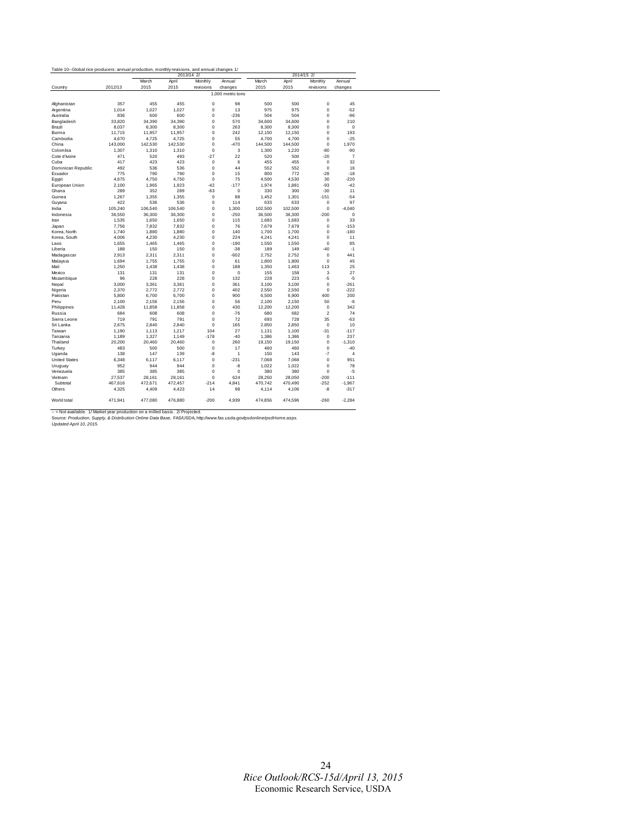| Table 10--Global rice producers: annual production, monthly revisions, and annual changes 1/ |         |         |         | 2013/14 2/  |                   |         |         | 2014/15 2/              |                |
|----------------------------------------------------------------------------------------------|---------|---------|---------|-------------|-------------------|---------|---------|-------------------------|----------------|
|                                                                                              |         | March   | April   | Monthly     | Annual            | March   | April   | Monthly                 | Annual         |
| Country                                                                                      | 2012/13 | 2015    | 2015    | revisions   | changes           | 2015    | 2015    | revisions               | changes        |
|                                                                                              |         |         |         |             | 1,000 metric tons |         |         |                         |                |
| Afghanistan                                                                                  | 357     | 455     | 455     | $\bf{0}$    | 98                | 500     | 500     | $\mathbf 0$             | 45             |
| Argentina                                                                                    | 1,014   | 1,027   | 1.027   | $\mathbf 0$ | 13                | 975     | 975     | $\mathbf 0$             | $-52$          |
| Australia                                                                                    | 836     | 600     | 600     | $\mathbf 0$ | $-236$            | 504     | 504     | $\mathbf 0$             | $-96$          |
| Bangladesh                                                                                   | 33,820  | 34,390  | 34,390  | $\mathbf 0$ | 570               | 34,600  | 34,600  | $\mathbf 0$             | 210            |
| Brazil                                                                                       | 8,037   | 8,300   | 8,300   | $^{\circ}$  | 263               | 8,300   | 8,300   | $\mathbf 0$             | $\mathbf 0$    |
| Burma                                                                                        | 11,715  | 11,957  | 11,957  | $\mathbf 0$ | 242               | 12,150  | 12,150  | $\mathbf 0$             | 193            |
| Cambodia                                                                                     | 4,670   | 4,725   | 4,725   | 0           | 55                | 4,700   | 4,700   | $\mathbf 0$             | $-25$          |
| China                                                                                        | 143,000 | 142,530 | 142,530 | 0           | $-470$            | 144,500 | 144,500 | 0                       | 1,970          |
| Colombia                                                                                     | 1,307   | 1,310   | 1,310   | $\mathbf 0$ | 3                 | 1,300   | 1,220   | $-80$                   | $-90$          |
| Cote d'Ivoire                                                                                | 471     | 520     | 493     | $-27$       | 22                | 520     | 500     | $-20$                   | $\overline{7}$ |
| Cuba                                                                                         | 417     | 423     | 423     | 0           | 6                 | 455     | 455     | 0                       | 32             |
| Dominican Republic                                                                           | 492     | 536     | 536     | $\mathbf 0$ | 44                | 552     | 552     | $\mathbf 0$             | 16             |
| Ecuador                                                                                      | 775     | 790     | 790     | $\mathbf 0$ | 15                | 800     | 772     | $-28$                   | $-18$          |
| Egypt                                                                                        | 4,675   | 4,750   | 4,750   | $\mathbf 0$ | 75                | 4,500   | 4,530   | 30                      | $-220$         |
| European Union                                                                               | 2,100   | 1,965   | 1,923   | $-42$       | $-177$            | 1,974   | 1,881   | $-93$                   | $-42$          |
| Ghana                                                                                        | 289     | 352     | 289     | $-63$       | 0                 | 330     | 300     | $-30$                   | 11             |
| Guinea                                                                                       | 1,267   | 1,355   | 1,355   | $\mathbf 0$ | 88                | 1,452   | 1,301   | $-151$                  | $-54$          |
| Guyana                                                                                       | 422     | 536     | 536     | $\mathbf 0$ | 114               | 633     | 633     | $\mathbf 0$             | 97             |
| India                                                                                        | 105,240 | 106,540 | 106,540 | 0           | 1,300             | 102,500 | 102,500 | $\mathbf 0$             | $-4,040$       |
| Indonesia                                                                                    | 36,550  | 36,300  | 36,300  | $\mathbf 0$ | $-250$            | 36,500  | 36,300  | $-200$                  | $\mathbf 0$    |
| Iran                                                                                         | 1,535   | 1,650   | 1,650   | $\mathbf 0$ | 115               | 1,683   | 1,683   | $\mathbf 0$             | 33             |
| Japan                                                                                        | 7,756   | 7,832   | 7,832   | 0           | 76                | 7,679   | 7,679   | $\mathbf 0$             | $-153$         |
| Korea, North                                                                                 | 1,740   | 1,880   | 1,880   | $\mathbf 0$ | 140               | 1,700   | 1,700   | $\mathbf 0$             | $-180$         |
| Korea, South                                                                                 | 4,006   | 4,230   | 4,230   | $\mathbf 0$ | 224               | 4,241   | 4,241   | $\mathbf 0$             | 11             |
| Laos                                                                                         | 1,655   | 1,465   | 1,465   | $\pmb{0}$   | $-190$            | 1,550   | 1,550   | $\mathbf 0$             | 85             |
| Liberia                                                                                      | 188     | 150     | 150     | 0           | $-38$             | 189     | 149     | $-40$                   | $-1$           |
| Madagascar                                                                                   | 2,913   | 2,311   | 2,311   | $\mathbf 0$ | $-602$            | 2,752   | 2,752   | $\mathbf 0$             | 441            |
| Malaysia                                                                                     | 1,694   | 1,755   | 1,755   | 0           | 61                | 1,800   | 1,800   | $\mathbf 0$             | 45             |
| Mali                                                                                         | 1,250   | 1,438   | 1,438   | $\mathbf 0$ | 188               | 1,350   | 1,463   | 113                     | 25             |
| Mexico                                                                                       | 131     | 131     | 131     | $\mathbf 0$ | $\mathbf 0$       | 155     | 158     | 3                       | 27             |
| Mozambique                                                                                   | 96      | 228     | 228     | 0           | 132               | 228     | 223     | -5                      | $-5$           |
| Nepal                                                                                        | 3,000   | 3,361   | 3,361   | $\mathbf 0$ | 361               | 3,100   | 3,100   | $\mathbf 0$             | $-261$         |
| Nigeria                                                                                      | 2,370   | 2,772   | 2,772   | 0           | 402               | 2,550   | 2,550   | 0                       | $-222$         |
| Pakistan                                                                                     | 5,800   | 6,700   | 6,700   | $\mathbf 0$ | 900               | 6,500   | 6,900   | 400                     | 200            |
| Peru                                                                                         | 2,100   | 2,156   | 2,156   | $\mathbf 0$ | 56                | 2,100   | 2,150   | 50                      | $-6$           |
| Philippines                                                                                  | 11,428  | 11,858  | 11,858  | $\mathbf 0$ | 430               | 12,200  | 12,200  | $\mathbf 0$             | 342            |
| Russia                                                                                       | 684     | 608     | 608     | $^{\circ}$  | $-76$             | 680     | 682     | $\overline{\mathbf{c}}$ | 74             |
| Sierra Leone                                                                                 | 719     | 791     | 791     | $\mathbf 0$ | 72                | 693     | 728     | 35                      | $-63$          |
| Sri Lanka                                                                                    | 2,675   | 2,840   | 2,840   | $\mathbf 0$ | 165               | 2,850   | 2,850   | $\mathbf 0$             | 10             |
| Taiwan                                                                                       | 1,190   | 1,113   | 1,217   | 104         | 27                | 1,131   | 1,100   | $-31$                   | $-117$         |
| Tanzania                                                                                     | 1,189   | 1,327   | 1,149   | $-178$      | $-40$             | 1,386   | 1,386   | $\mathbf 0$             | 237            |
| Thailand                                                                                     | 20,200  | 20,460  | 20,460  | $\mathbf 0$ | 260               | 19,150  | 19,150  | $\mathbf 0$             | $-1,310$       |
| Turkey                                                                                       | 483     | 500     | 500     | $\bf{0}$    | 17                | 460     | 460     | $\mathbf 0$             | $-40$          |
| Uganda                                                                                       | 138     | 147     | 139     | -8          | $\mathbf{1}$      | 150     | 143     | $-7$                    | $\overline{4}$ |
| <b>United States</b>                                                                         | 6,348   | 6,117   | 6,117   | 0           | $-231$            | 7,068   | 7,068   | $\mathbf 0$             | 951            |
|                                                                                              | 952     | 944     | 944     | $\mathbf 0$ | -8                | 1,022   | 1,022   | $\mathbf 0$             | 78             |
| Uruguay<br>Venezuela                                                                         | 385     | 385     | 385     | 0           | 0                 | 380     | 380     | $\mathbf 0$             | $-5$           |
| Vietnam                                                                                      | 27,537  | 28,161  | 28,161  | 0           | 624               | 28,250  | 28,050  | $-200$                  | $-111$         |
|                                                                                              |         |         |         |             |                   |         |         |                         |                |
| Subtotal                                                                                     | 467,616 | 472,671 | 472,457 | $-214$      | 4,841             | 470,742 | 470,490 | $-252$                  | $-1,967$       |
| Others                                                                                       | 4,325   | 4,409   | 4,423   | 14          | 98                | 4,114   | 4,106   | $-8$                    | $-317$         |
| World total                                                                                  | 471.941 | 477.080 | 476.880 | $-200$      | 4.939             | 474.856 | 474.596 | $-260$                  | $-2.284$       |

 $\overline{\phantom{0}}$ 

-- » Not available. 1/ Market year production on a milled basis. 2/ Projected.<br>Source: Production, Supply, & Distribution Online Data Base, FAS/USDA, http://www.fas.usda.gov/psdonline/psdHome.aspx.<br>Updated April 10, 2015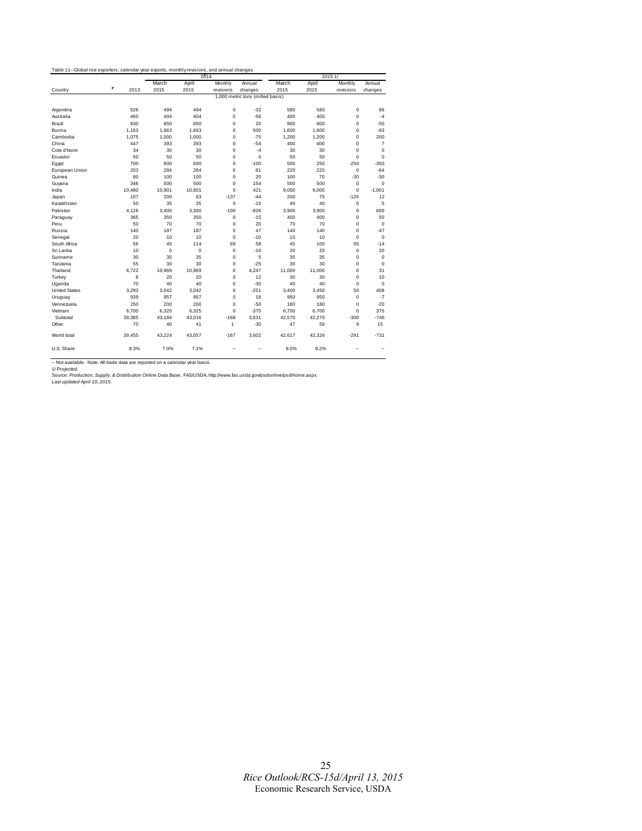|                      |           |             | 2014   |             |                                  |        |        | 2015 1/     |                |
|----------------------|-----------|-------------|--------|-------------|----------------------------------|--------|--------|-------------|----------------|
|                      |           | March       | April  | Monthly     | Annual                           | March  | April  | Monthly     | Annual         |
| Country              | ٠<br>2013 | 2015        | 2015   | revisions   | changes                          | 2015   | 2015   | revisions   | changes        |
|                      |           |             |        |             | 1,000 metric tons (milled basis) |        |        |             |                |
| Argentina            | 526       | 494         | 494    | $\mathbf 0$ | $-32$                            | 580    | 580    | 0           | 86             |
| Australia            | 460       | 404         | 404    | $\mathbf 0$ | $-56$                            | 400    | 400    | 0           | $-4$           |
| Brazil               | 830       | 850         | 850    | $\mathbf 0$ | 20                               | 800    | 800    | 0           | $-50$          |
| Burma                | 1.163     | 1.663       | 1.663  | $\mathbf 0$ | 500                              | 1.600  | 1,600  | 0           | $-63$          |
| Cambodia             | 1,075     | 1,000       | 1,000  | $\mathbf 0$ | $-75$                            | 1,200  | 1,200  | $\mathbf 0$ | 200            |
| China                | 447       | 393         | 393    | $\mathbf 0$ | $-54$                            | 400    | 400    | 0           | $\overline{7}$ |
| Cote d'Ivoire        | 34        | 30          | 30     | $\mathbf 0$ | $-4$                             | 30     | 30     | 0           | $\mathbf 0$    |
| Ecuador              | 50        | 50          | 50     | $\mathbf 0$ | $\mathbf 0$                      | 50     | 50     | 0           | $\mathbf 0$    |
| Eqypt                | 700       | 600         | 600    | $\mathbf 0$ | $-100$                           | 500    | 250    | $-250$      | $-350$         |
| European Union       | 203       | 284         | 284    | $\mathbf 0$ | 81                               | 220    | 220    | 0           | $-64$          |
| Guinea               | 80        | 100         | 100    | $\mathbf 0$ | 20                               | 100    | 70     | $-30$       | $-30$          |
| Guyana               | 346       | 500         | 500    | $\mathbf 0$ | 154                              | 500    | 500    | 0           | $\mathbf 0$    |
| India                | 10,480    | 10,901      | 10,901 | $\Omega$    | 421                              | 9,000  | 9.000  | $\Omega$    | $-1,901$       |
| Japan                | 107       | 200         | 63     | $-137$      | $-44$                            | 200    | 75     | $-125$      | 12             |
| Kazakhstan           | 50        | 35          | 35     | $\Omega$    | $-15$                            | 40     | 40     | 0           | 5              |
| Pakistan             | 4.126     | 3.400       | 3.300  | $-100$      | $-826$                           | 3.900  | 3.900  | 0           | 600            |
| Paraguay             | 365       | 350         | 350    | $\mathbf 0$ | $-15$                            | 400    | 400    | 0           | 50             |
| Peru                 | 50        | 70          | 70     | $\mathbf 0$ | 20                               | 70     | 70     | 0           | $\mathbf 0$    |
| Russia               | 140       | 187         | 187    | $\mathbf 0$ | 47                               | 140    | 140    | $\mathbf 0$ | $-47$          |
| Senegal              | 20        | 10          | 10     | $\mathbf 0$ | $-10$                            | 10     | 10     | 0           | $\mathbf 0$    |
| South Africa         | 56        | 45          | 114    | 69          | 58                               | 45     | 100    | 55          | $-14$          |
| Sri Lanka            | 10        | $\mathbf 0$ | 0      | $\mathbf 0$ | $-10$                            | 20     | 20     | 0           | 20             |
| Suriname             | 30        | 35          | 35     | $\mathbf 0$ | 5                                | 35     | 35     | 0           | $\mathbf 0$    |
| Tanzania             | 55        | 30          | 30     | $\mathbf 0$ | $-25$                            | 30     | 30     | 0           | $\mathbf 0$    |
| Thailand             | 6.722     | 10.969      | 10.969 | $\mathbf 0$ | 4.247                            | 11,000 | 11,000 | 0           | 31             |
| Turkev               | 8         | 20          | 20     | $\mathbf 0$ | 12                               | 30     | 30     | 0           | 10             |
| Uganda               | 70        | 40          | 40     | $\mathbf 0$ | $-30$                            | 40     | 40     | 0           | $\mathbf 0$    |
| <b>United States</b> | 3.293     | 3.042       | 3.042  | $\mathbf 0$ | $-251$                           | 3.400  | 3.450  | 50          | 408            |
| Uruguay              | 939       | 957         | 957    | $\mathbf 0$ | 18                               | 950    | 950    | $\mathbf 0$ | $-7$           |
| Vennezuela           | 250       | 200         | 200    | $\mathbf 0$ | $-50$                            | 180    | 180    | 0           | $-20$          |
| Vietnam              | 6.700     | 6,325       | 6,325  | $\Omega$    | $-375$                           | 6,700  | 6.700  | $\Omega$    | 375            |
| Subtotal             | 39.385    | 43.184      | 43.016 | $-168$      | 3.631                            | 42,570 | 42.270 | $-300$      | $-746$         |
| Other                | 70        | 40          | 41     | 1           | $-30$                            | 47     | 56     | 9           | 15             |
| World total          | 39,455    | 43,224      | 43,057 | $-167$      | 3,602                            | 42,617 | 42,326 | $-291$      | $-731$         |
| U.S. Share           | 8.3%      | 7.0%        | 7.1%   | --          | ٠.                               | 8.0%   | 8.2%   | --          | ٠.             |

-- Not available. Note: All trade data are reported on a calendar year basis.<br>1/ Projected.<br>Source: *Production, Supply, & Distribution Online Data B*ase, FAS/USDA, http://www.fas.usda.gov/psdonline/psdHome.aspx.<br>Last up